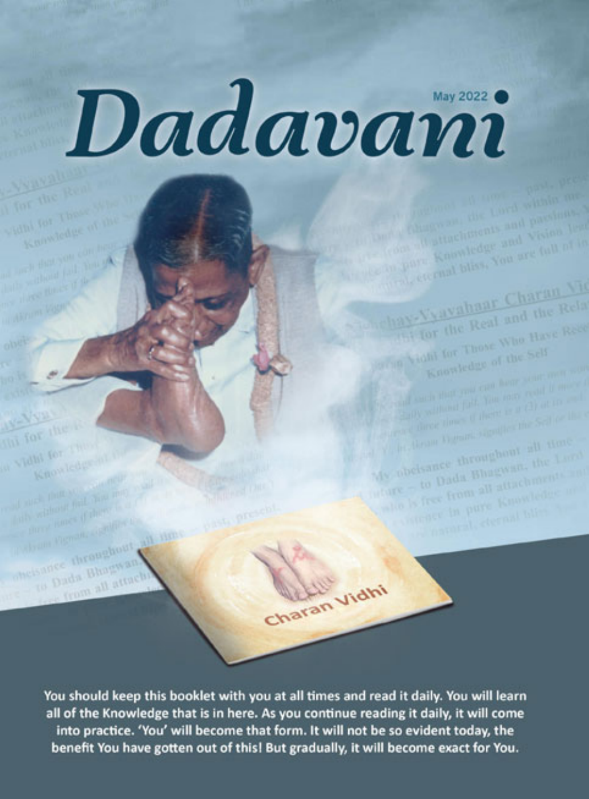# Dadavani

Knowledge and Vision coal blivs, You are full of

for the Real and the ight for Those Who Have Re Knowledge of the Self

savahaar Charan VI

You should keep this booklet with you at all times and read it daily. You will learn all of the Knowledge that is in here. As you continue reading it daily, it will come into practice. 'You' will become that form. It will not be so evident today, the benefit You have gotten out of this! But gradually, it will become exact for You.

haran vidhi

Vidhi to

neisance throughout to Dada Bhagnan from all attach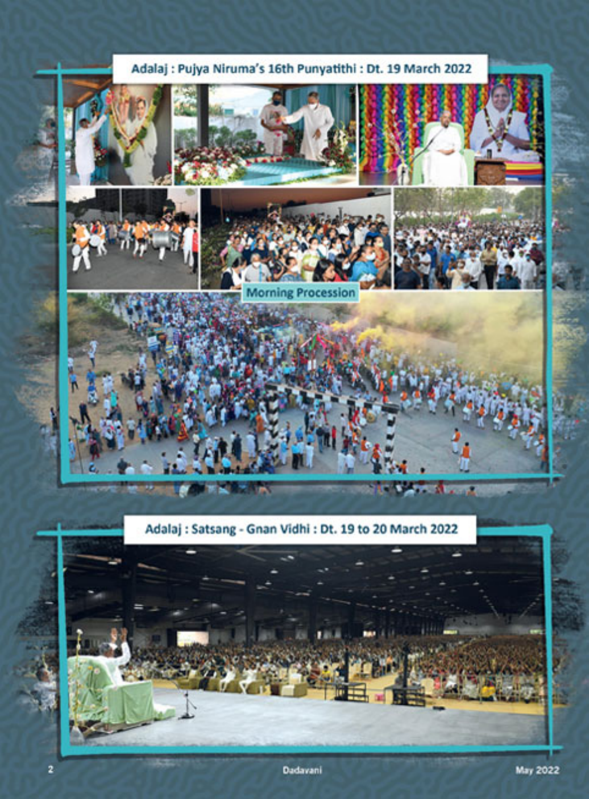

Adalaj : Satsang - Gnan Vidhi : Dt. 19 to 20 March 2022

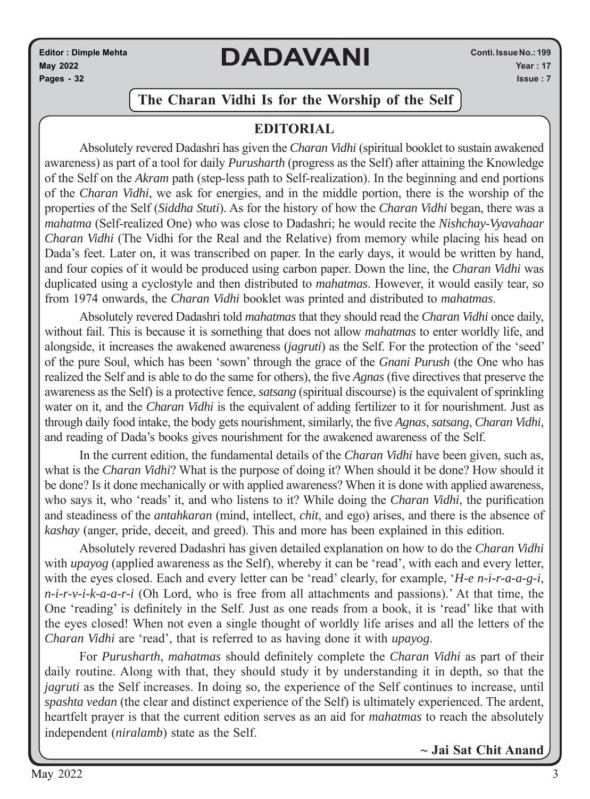**Editor : Dimple Mehta May 2022 Pages - 32**

# **DADAVANI**

#### **The Charan Vidhi Is for the Worship of the Self**

#### **EDITORIAL**

Absolutely revered Dadashri has given the *Charan Vidhi* (spiritual booklet to sustain awakened awareness) as part of a tool for daily *Purusharth* (progress as the Self) after attaining the Knowledge of the Self on the *Akram* path (step-less path to Self-realization). In the beginning and end portions of the *Charan Vidhi*, we ask for energies, and in the middle portion, there is the worship of the properties of the Self (*Siddha Stuti*). As for the history of how the *Charan Vidhi* began, there was a *mahatma* (Self-realized One) who was close to Dadashri; he would recite the *Nishchay-Vyavahaar Charan Vidhi* (The Vidhi for the Real and the Relative) from memory while placing his head on Dada's feet. Later on, it was transcribed on paper. In the early days, it would be written by hand, and four copies of it would be produced using carbon paper. Down the line, the *Charan Vidhi* was duplicated using a cyclostyle and then distributed to *mahatmas*. However, it would easily tear, so from 1974 onwards, the *Charan Vidhi* booklet was printed and distributed to *mahatmas*.

Absolutely revered Dadashri told *mahatmas* that they should read the *Charan Vidhi* once daily, without fail. This is because it is something that does not allow *mahatmas* to enter worldly life, and alongside, it increases the awakened awareness (*jagruti*) as the Self. For the protection of the 'seed' of the pure Soul, which has been 'sown' through the grace of the *Gnani Purush* (the One who has realized the Self and is able to do the same for others), the five *Agnas* (five directives that preserve the awareness as the Self) is a protective fence, *satsang* (spiritual discourse) is the equivalent of sprinkling water on it, and the *Charan Vidhi* is the equivalent of adding fertilizer to it for nourishment. Just as through daily food intake, the body gets nourishment, similarly, the five *Agnas*, *satsang*, *Charan Vidhi*, and reading of Dada's books gives nourishment for the awakened awareness of the Self.

In the current edition, the fundamental details of the *Charan Vidhi* have been given, such as, what is the *Charan Vidhi*? What is the purpose of doing it? When should it be done? How should it be done? Is it done mechanically or with applied awareness? When it is done with applied awareness, who says it, who 'reads' it, and who listens to it? While doing the *Charan Vidhi*, the purification and steadiness of the *antahkaran* (mind, intellect, *chit*, and ego) arises, and there is the absence of *kashay* (anger, pride, deceit, and greed). This and more has been explained in this edition.

Absolutely revered Dadashri has given detailed explanation on how to do the *Charan Vidhi* with *upayog* (applied awareness as the Self), whereby it can be 'read', with each and every letter, with the eyes closed. Each and every letter can be 'read' clearly, for example, '*H-e n-i-r-a-a-g-i*, *n-i-r-v-i-k-a-a-r-i* (Oh Lord, who is free from all attachments and passions).' At that time, the One 'reading' is definitely in the Self. Just as one reads from a book, it is 'read' like that with the eyes closed! When not even a single thought of worldly life arises and all the letters of the *Charan Vidhi* are 'read', that is referred to as having done it with *upayog*.

For *Purusharth*, *mahatmas* should definitely complete the *Charan Vidhi* as part of their daily routine. Along with that, they should study it by understanding it in depth, so that the *jagruti* as the Self increases. In doing so, the experience of the Self continues to increase, until *spashta vedan* (the clear and distinct experience of the Self) is ultimately experienced. The ardent, heartfelt prayer is that the current edition serves as an aid for *mahatmas* to reach the absolutely independent (*niralamb*) state as the Self.

**~ Jai Sat Chit Anand**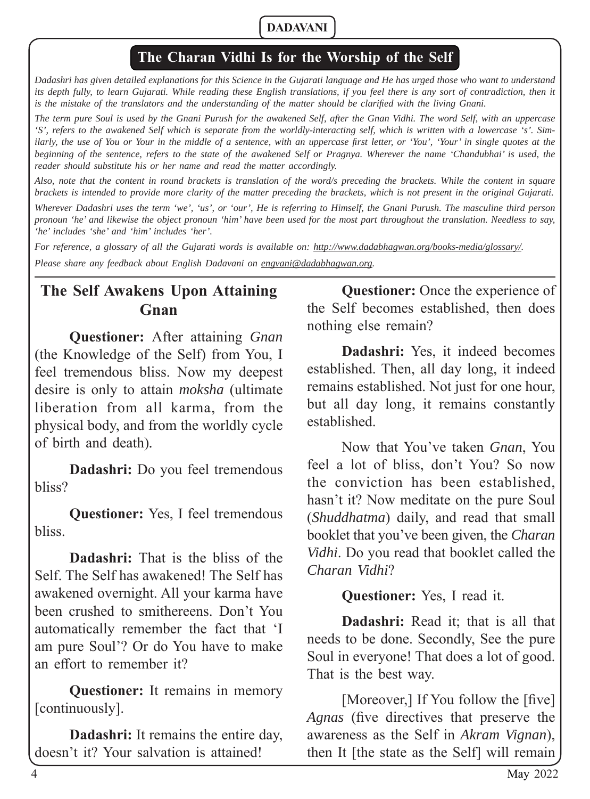#### **The Charan Vidhi Is for the Worship of the Self**

*Dadashri has given detailed explanations for this Science in the Gujarati language and He has urged those who want to understand*  its depth fully, to learn Gujarati. While reading these English translations, if you feel there is any sort of contradiction, then it *is the mistake of the translators and the understanding of the matter should be clarified with the living Gnani.* 

*The term pure Soul is used by the Gnani Purush for the awakened Self, after the Gnan Vidhi. The word Self, with an uppercase 'S', refers to the awakened Self which is separate from the worldly-interacting self, which is written with a lowercase 's'. Similarly, the use of You or Your in the middle of a sentence, with an uppercase first letter, or 'You', 'Your' in single quotes at the beginning of the sentence, refers to the state of the awakened Self or Pragnya. Wherever the name 'Chandubhai' is used, the reader should substitute his or her name and read the matter accordingly.* 

*Also, note that the content in round brackets is translation of the word/s preceding the brackets. While the content in square brackets is intended to provide more clarity of the matter preceding the brackets, which is not present in the original Gujarati.* 

*Wherever Dadashri uses the term 'we', 'us', or 'our', He is referring to Himself, the Gnani Purush. The masculine third person pronoun 'he' and likewise the object pronoun 'him' have been used for the most part throughout the translation. Needless to say, 'he' includes 'she' and 'him' includes 'her'.*

*For reference, a glossary of all the Gujarati words is available on: http://www.dadabhagwan.org/books-media/glossary/. Please share any feedback about English Dadavani on engvani@dadabhagwan.org.*

#### **The Self Awakens Upon Attaining Gnan**

**Questioner:** After attaining *Gnan*  (the Knowledge of the Self) from You, I feel tremendous bliss. Now my deepest desire is only to attain *moksha* (ultimate liberation from all karma, from the physical body, and from the worldly cycle of birth and death)*.* 

**Dadashri:** Do you feel tremendous bliss?

**Questioner:** Yes, I feel tremendous bliss.

**Dadashri:** That is the bliss of the Self. The Self has awakened! The Self has awakened overnight. All your karma have been crushed to smithereens. Don't You automatically remember the fact that 'I am pure Soul'? Or do You have to make an effort to remember it?

**Questioner:** It remains in memory [continuously].

**Dadashri:** It remains the entire day, doesn't it? Your salvation is attained!

**Questioner:** Once the experience of the Self becomes established, then does nothing else remain?

**Dadashri:** Yes, it indeed becomes established. Then, all day long, it indeed remains established. Not just for one hour, but all day long, it remains constantly established.

Now that You've taken *Gnan*, You feel a lot of bliss, don't You? So now the conviction has been established, hasn't it? Now meditate on the pure Soul (*Shuddhatma*) daily, and read that small booklet that you've been given, the *Charan Vidhi*. Do you read that booklet called the *Charan Vidhi*?

**Questioner:** Yes, I read it.

**Dadashri:** Read it; that is all that needs to be done. Secondly, See the pure Soul in everyone! That does a lot of good. That is the best way.

[Moreover,] If You follow the [five] Agnas (five directives that preserve the awareness as the Self in *Akram Vignan*), then It [the state as the Self] will remain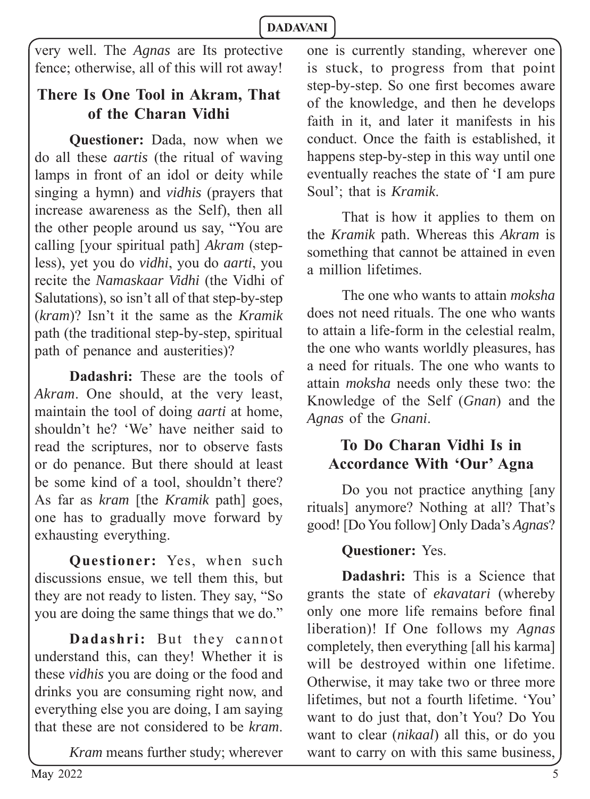very well. The *Agnas* are Its protective fence; otherwise, all of this will rot away!

# **There Is One Tool in Akram, That of the Charan Vidhi**

**Questioner:** Dada, now when we do all these *aartis* (the ritual of waving lamps in front of an idol or deity while singing a hymn) and *vidhis* (prayers that increase awareness as the Self), then all the other people around us say, "You are calling [your spiritual path] *Akram* (stepless), yet you do *vidhi*, you do *aarti*, you recite the *Namaskaar Vidhi* (the Vidhi of Salutations), so isn't all of that step-by-step (*kram*)? Isn't it the same as the *Kramik*  path (the traditional step-by-step, spiritual path of penance and austerities)?

**Dadashri:** These are the tools of *Akram*. One should, at the very least, maintain the tool of doing *aarti* at home, shouldn't he? 'We' have neither said to read the scriptures, nor to observe fasts or do penance. But there should at least be some kind of a tool, shouldn't there? As far as *kram* [the *Kramik* path] goes, one has to gradually move forward by exhausting everything.

**Questioner:** Yes, when such discussions ensue, we tell them this, but they are not ready to listen. They say, "So you are doing the same things that we do."

**Dadashri:** But they cannot understand this, can they! Whether it is these *vidhis* you are doing or the food and drinks you are consuming right now, and everything else you are doing, I am saying that these are not considered to be *kram*.

*Kram* means further study; wherever

one is currently standing, wherever one is stuck, to progress from that point step-by-step. So one first becomes aware of the knowledge, and then he develops faith in it, and later it manifests in his conduct. Once the faith is established, it happens step-by-step in this way until one eventually reaches the state of 'I am pure Soul'; that is *Kramik*.

That is how it applies to them on the *Kramik* path. Whereas this *Akram* is something that cannot be attained in even a million lifetimes.

The one who wants to attain *moksha* does not need rituals. The one who wants to attain a life-form in the celestial realm, the one who wants worldly pleasures, has a need for rituals. The one who wants to attain *moksha* needs only these two: the Knowledge of the Self (*Gnan*) and the *Agnas* of the *Gnani*.

#### **To Do Charan Vidhi Is in Accordance With 'Our' Agna**

Do you not practice anything [any rituals] anymore? Nothing at all? That's good! [Do You follow] Only Dada's *Agnas*?

# **Questioner:** Yes.

**Dadashri:** This is a Science that grants the state of *ekavatari* (whereby only one more life remains before final liberation)! If One follows my *Agnas* completely, then everything [all his karma] will be destroyed within one lifetime. Otherwise, it may take two or three more lifetimes, but not a fourth lifetime. 'You' want to do just that, don't You? Do You want to clear (*nikaal*) all this, or do you want to carry on with this same business,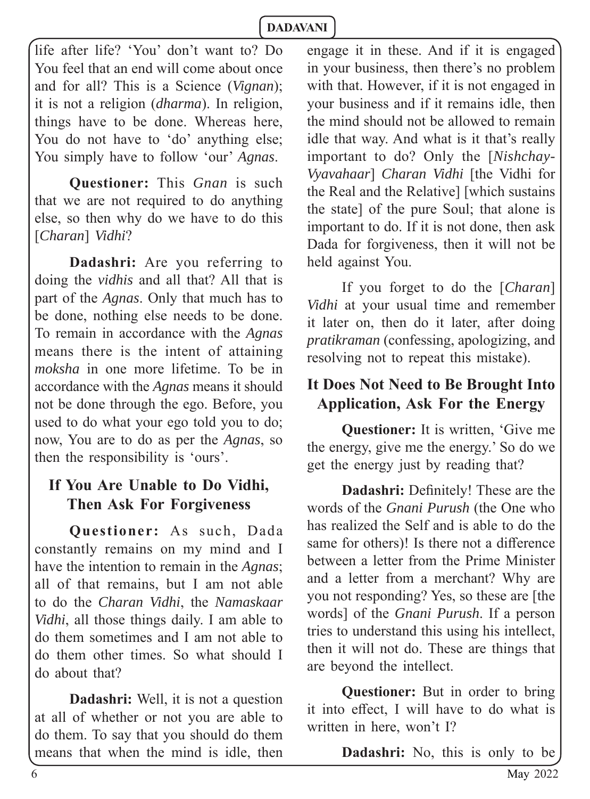life after life? 'You' don't want to? Do You feel that an end will come about once and for all? This is a Science (*Vignan*); it is not a religion (*dharma*). In religion, things have to be done. Whereas here, You do not have to 'do' anything else; You simply have to follow 'our' *Agnas*.

**Questioner:** This *Gnan* is such that we are not required to do anything else, so then why do we have to do this [*Charan*] *Vidhi*?

**Dadashri:** Are you referring to doing the *vidhis* and all that? All that is part of the *Agnas*. Only that much has to be done, nothing else needs to be done. To remain in accordance with the *Agnas* means there is the intent of attaining *moksha* in one more lifetime. To be in accordance with the *Agnas* means it should not be done through the ego. Before, you used to do what your ego told you to do; now, You are to do as per the *Agnas*, so then the responsibility is 'ours'.

# **If You Are Unable to Do Vidhi, Then Ask For Forgiveness**

**Questioner:** As such, Dada constantly remains on my mind and I have the intention to remain in the *Agnas*; all of that remains, but I am not able to do the *Charan Vidhi*, the *Namaskaar Vidhi*, all those things daily. I am able to do them sometimes and I am not able to do them other times. So what should I do about that?

**Dadashri:** Well, it is not a question at all of whether or not you are able to do them. To say that you should do them means that when the mind is idle, then

engage it in these. And if it is engaged in your business, then there's no problem with that. However, if it is not engaged in your business and if it remains idle, then the mind should not be allowed to remain idle that way. And what is it that's really important to do? Only the [*Nishchay-Vyavahaar*] *Charan Vidhi* [the Vidhi for the Real and the Relative] [which sustains the state] of the pure Soul; that alone is important to do. If it is not done, then ask Dada for forgiveness, then it will not be held against You.

If you forget to do the [*Charan*] *Vidhi* at your usual time and remember it later on, then do it later, after doing *pratikraman* (confessing, apologizing, and resolving not to repeat this mistake).

# **It Does Not Need to Be Brought Into Application, Ask For the Energy**

**Questioner:** It is written, 'Give me the energy, give me the energy.' So do we get the energy just by reading that?

**Dadashri:** Definitely! These are the words of the *Gnani Purush* (the One who has realized the Self and is able to do the same for others)! Is there not a difference between a letter from the Prime Minister and a letter from a merchant? Why are you not responding? Yes, so these are [the words] of the *Gnani Purush*. If a person tries to understand this using his intellect, then it will not do. These are things that are beyond the intellect.

**Questioner:** But in order to bring it into effect. I will have to do what is written in here, won't I?

**Dadashri:** No, this is only to be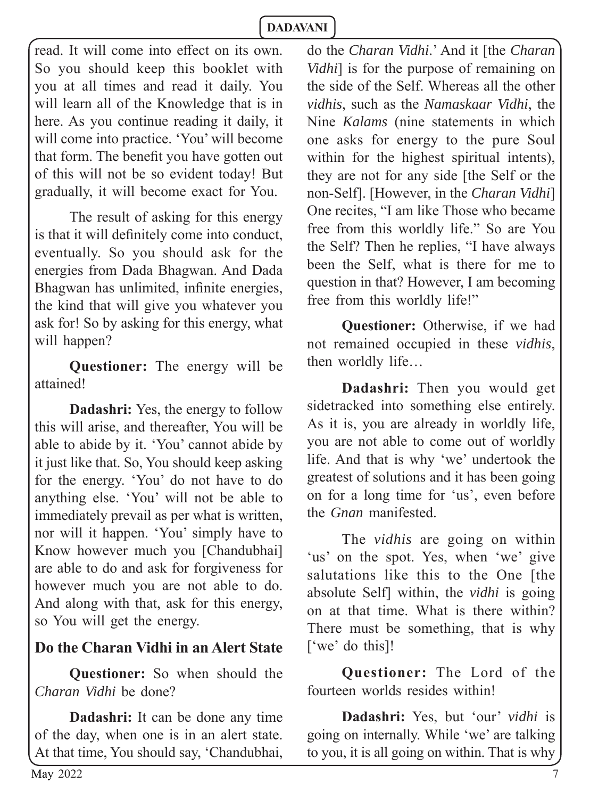read. It will come into effect on its own. So you should keep this booklet with you at all times and read it daily. You will learn all of the Knowledge that is in here. As you continue reading it daily, it will come into practice. 'You' will become that form. The benefit you have gotten out of this will not be so evident today! But gradually, it will become exact for You.

The result of asking for this energy is that it will definitely come into conduct, eventually. So you should ask for the energies from Dada Bhagwan. And Dada Bhagwan has unlimited, infinite energies, the kind that will give you whatever you ask for! So by asking for this energy, what will happen?

**Questioner:** The energy will be attained!

**Dadashri:** Yes, the energy to follow this will arise, and thereafter, You will be able to abide by it. 'You' cannot abide by it just like that. So, You should keep asking for the energy. 'You' do not have to do anything else. 'You' will not be able to immediately prevail as per what is written, nor will it happen. 'You' simply have to Know however much you [Chandubhai] are able to do and ask for forgiveness for however much you are not able to do. And along with that, ask for this energy, so You will get the energy.

#### **Do the Charan Vidhi in an Alert State**

**Questioner:** So when should the *Charan Vidhi* be done?

**Dadashri:** It can be done any time of the day, when one is in an alert state. At that time, You should say, 'Chandubhai, do the *Charan Vidhi*.' And it [the *Charan Vidhi*] is for the purpose of remaining on the side of the Self. Whereas all the other *vidhis*, such as the *Namaskaar Vidhi*, the Nine *Kalams* (nine statements in which one asks for energy to the pure Soul within for the highest spiritual intents), they are not for any side [the Self or the non-Self]. [However, in the *Charan Vidhi*] One recites, "I am like Those who became free from this worldly life." So are You the Self? Then he replies, "I have always been the Self, what is there for me to question in that? However, I am becoming free from this worldly life!"

**Questioner:** Otherwise, if we had not remained occupied in these *vidhis*, then worldly life…

**Dadashri:** Then you would get sidetracked into something else entirely. As it is, you are already in worldly life, you are not able to come out of worldly life. And that is why 'we' undertook the greatest of solutions and it has been going on for a long time for 'us', even before the *Gnan* manifested.

The *vidhis* are going on within 'us' on the spot. Yes, when 'we' give salutations like this to the One [the absolute Self] within, the *vidhi* is going on at that time. What is there within? There must be something, that is why ['we' do this]!

**Questioner:** The Lord of the fourteen worlds resides within!

**Dadashri:** Yes, but 'our' *vidhi* is going on internally. While 'we' are talking to you, it is all going on within. That is why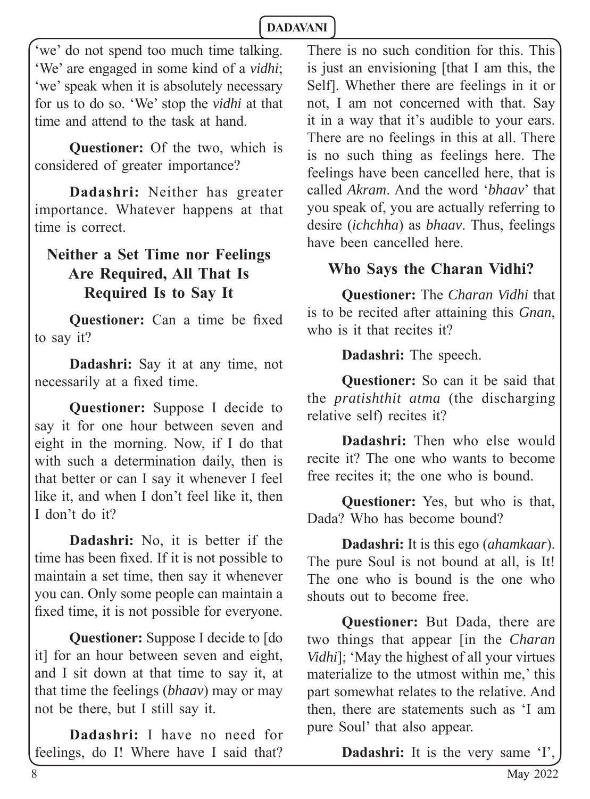'we' do not spend too much time talking. 'We' are engaged in some kind of a *vidhi*; 'we' speak when it is absolutely necessary for us to do so. 'We' stop the *vidhi* at that time and attend to the task at hand.

**Questioner:** Of the two, which is considered of greater importance?

**Dadashri:** Neither has greater importance. Whatever happens at that time is correct.

# **Neither a Set Time nor Feelings Are Required, All That Is Required Is to Say It**

**Questioner:** Can a time be fixed to say it?

**Dadashri:** Say it at any time, not necessarily at a fixed time.

**Questioner:** Suppose I decide to say it for one hour between seven and eight in the morning. Now, if I do that with such a determination daily, then is that better or can I say it whenever I feel like it, and when I don't feel like it, then I don't do it?

**Dadashri:** No, it is better if the time has been fixed. If it is not possible to maintain a set time, then say it whenever you can. Only some people can maintain a fixed time, it is not possible for everyone.

**Questioner:** Suppose I decide to [do it] for an hour between seven and eight, and I sit down at that time to say it, at that time the feelings (*bhaav*) may or may not be there, but I still say it.

**Dadashri:** I have no need for feelings, do I! Where have I said that? There is no such condition for this. This is just an envisioning [that I am this, the Self]. Whether there are feelings in it or not, I am not concerned with that. Say it in a way that it's audible to your ears. There are no feelings in this at all. There is no such thing as feelings here. The feelings have been cancelled here, that is called *Akram*. And the word '*bhaav*' that you speak of, you are actually referring to desire (*ichchha*) as *bhaav*. Thus, feelings have been cancelled here.

# **Who Says the Charan Vidhi?**

**Questioner:** The *Charan Vidhi* that is to be recited after attaining this *Gnan*, who is it that recites it?

**Dadashri:** The speech.

**Questioner:** So can it be said that the *pratishthit atma* (the discharging relative self) recites it?

**Dadashri:** Then who else would recite it? The one who wants to become free recites it; the one who is bound.

**Questioner:** Yes, but who is that, Dada? Who has become bound?

**Dadashri:** It is this ego (*ahamkaar*). The pure Soul is not bound at all, is It! The one who is bound is the one who shouts out to become free.

**Questioner:** But Dada, there are two things that appear [in the *Charan Vidhi*]; 'May the highest of all your virtues materialize to the utmost within me,' this part somewhat relates to the relative. And then, there are statements such as 'I am pure Soul' that also appear.

**Dadashri:** It is the very same 'I',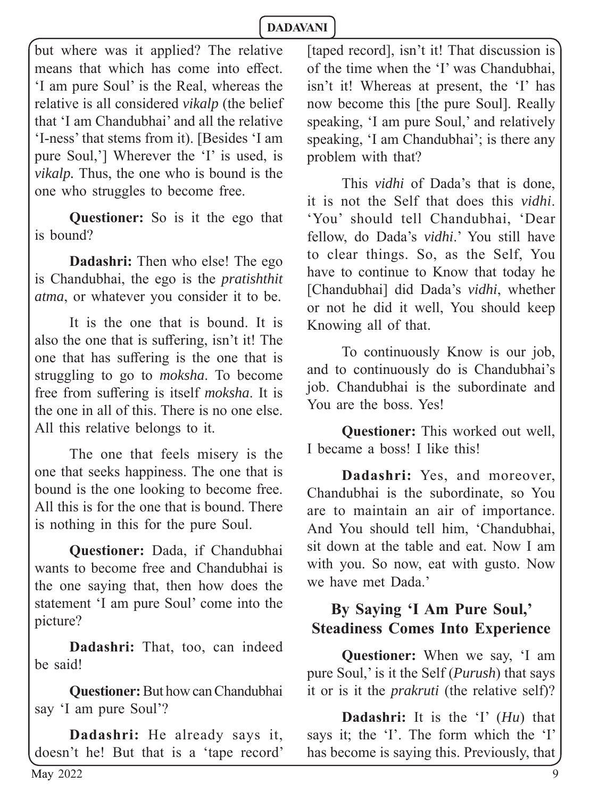but where was it applied? The relative means that which has come into effect. 'I am pure Soul' is the Real, whereas the relative is all considered *vikalp* (the belief that 'I am Chandubhai' and all the relative 'I-ness' that stems from it). [Besides 'I am pure Soul,'] Wherever the 'I' is used, is *vikalp.* Thus, the one who is bound is the one who struggles to become free.

**Questioner:** So is it the ego that is bound?

**Dadashri:** Then who else! The ego is Chandubhai, the ego is the *pratishthit atma*, or whatever you consider it to be.

It is the one that is bound. It is also the one that is suffering, isn't it! The one that has suffering is the one that is struggling to go to *moksha*. To become free from suffering is itself *moksha*. It is the one in all of this. There is no one else. All this relative belongs to it.

The one that feels misery is the one that seeks happiness. The one that is bound is the one looking to become free. All this is for the one that is bound. There is nothing in this for the pure Soul.

**Questioner:** Dada, if Chandubhai wants to become free and Chandubhai is the one saying that, then how does the statement 'I am pure Soul' come into the picture?

**Dadashri:** That, too, can indeed be said!

**Questioner:** But how can Chandubhai say 'I am pure Soul'?

**Dadashri:** He already says it, doesn't he! But that is a 'tape record' [taped record], isn't it! That discussion is of the time when the 'I' was Chandubhai, isn't it! Whereas at present, the 'I' has now become this [the pure Soul]. Really speaking, 'I am pure Soul,' and relatively speaking, 'I am Chandubhai'; is there any problem with that?

This *vidhi* of Dada's that is done, it is not the Self that does this *vidhi*. 'You' should tell Chandubhai, 'Dear fellow, do Dada's *vidhi*.' You still have to clear things. So, as the Self, You have to continue to Know that today he [Chandubhai] did Dada's *vidhi*, whether or not he did it well, You should keep Knowing all of that.

To continuously Know is our job, and to continuously do is Chandubhai's job. Chandubhai is the subordinate and You are the boss. Yes!

**Questioner:** This worked out well, I became a boss! I like this!

**Dadashri:** Yes, and moreover, Chandubhai is the subordinate, so You are to maintain an air of importance. And You should tell him, 'Chandubhai, sit down at the table and eat. Now I am with you. So now, eat with gusto. Now we have met Dada.'

# **By Saying 'I Am Pure Soul,' Steadiness Comes Into Experience**

**Questioner:** When we say, 'I am pure Soul,' is it the Self (*Purush*) that says it or is it the *prakruti* (the relative self)?

**Dadashri:** It is the 'I' (*Hu*) that says it; the 'I'. The form which the 'I' has become is saying this. Previously, that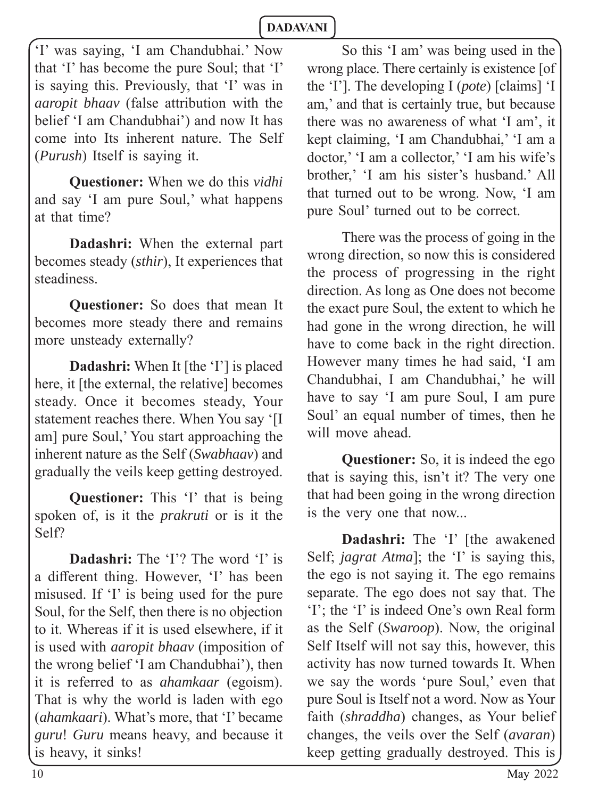'I' was saying, 'I am Chandubhai.' Now that 'I' has become the pure Soul; that 'I' is saying this. Previously, that 'I' was in *aaropit bhaav* (false attribution with the belief 'I am Chandubhai') and now It has come into Its inherent nature. The Self (*Purush*) Itself is saying it.

**Questioner:** When we do this *vidhi* and say 'I am pure Soul,' what happens at that time?

**Dadashri:** When the external part becomes steady (*sthir*), It experiences that steadiness.

**Questioner:** So does that mean It becomes more steady there and remains more unsteady externally?

**Dadashri:** When It [the 'I'] is placed here, it [the external, the relative] becomes steady. Once it becomes steady, Your statement reaches there. When You say '[I am] pure Soul,' You start approaching the inherent nature as the Self (*Swabhaav*) and gradually the veils keep getting destroyed.

**Questioner:** This 'I' that is being spoken of, is it the *prakruti* or is it the Self?

**Dadashri:** The 'I'? The word 'I' is a different thing. However, 'I' has been misused. If 'I' is being used for the pure Soul, for the Self, then there is no objection to it. Whereas if it is used elsewhere, if it is used with *aaropit bhaav* (imposition of the wrong belief 'I am Chandubhai'), then it is referred to as *ahamkaar* (egoism). That is why the world is laden with ego (*ahamkaari*). What's more, that 'I' became *guru*! *Guru* means heavy, and because it is heavy, it sinks!

So this 'I am' was being used in the wrong place. There certainly is existence [of the 'I']. The developing I (*pote*) [claims] 'I am,' and that is certainly true, but because there was no awareness of what 'I am', it kept claiming, 'I am Chandubhai,' 'I am a doctor,' 'I am a collector,' 'I am his wife's brother,' 'I am his sister's husband.' All that turned out to be wrong. Now, 'I am pure Soul' turned out to be correct.

There was the process of going in the wrong direction, so now this is considered the process of progressing in the right direction. As long as One does not become the exact pure Soul, the extent to which he had gone in the wrong direction, he will have to come back in the right direction. However many times he had said, 'I am Chandubhai, I am Chandubhai,' he will have to say 'I am pure Soul, I am pure Soul' an equal number of times, then he will move ahead.

**Questioner:** So, it is indeed the ego that is saying this, isn't it? The very one that had been going in the wrong direction is the very one that now...

**Dadashri:** The 'I' [the awakened Self; *jagrat Atma*]; the 'I' is saying this, the ego is not saying it. The ego remains separate. The ego does not say that. The 'I'; the 'I' is indeed One's own Real form as the Self (*Swaroop*). Now, the original Self Itself will not say this, however, this activity has now turned towards It. When we say the words 'pure Soul,' even that pure Soul is Itself not a word. Now as Your faith (*shraddha*) changes, as Your belief changes, the veils over the Self (*avaran*) keep getting gradually destroyed. This is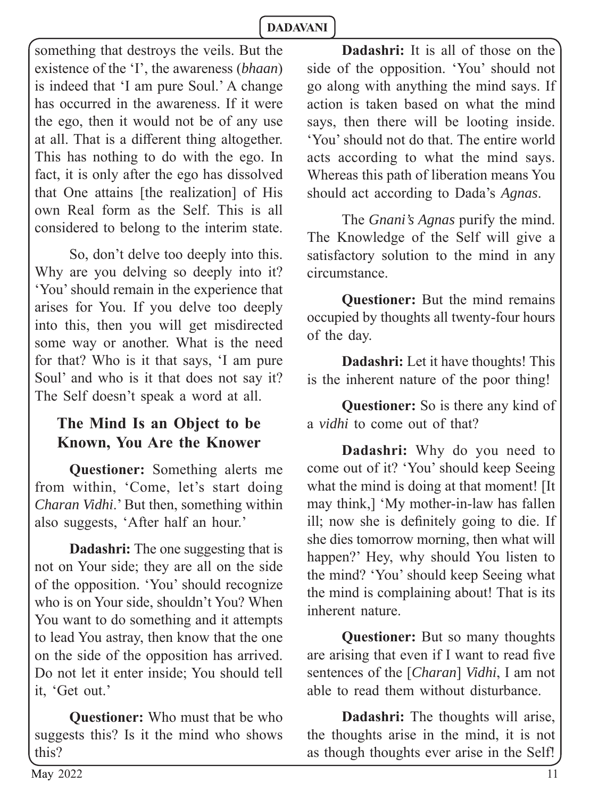something that destroys the veils. But the existence of the 'I', the awareness (*bhaan*) is indeed that 'I am pure Soul.' A change has occurred in the awareness. If it were the ego, then it would not be of any use at all. That is a different thing altogether. This has nothing to do with the ego. In fact, it is only after the ego has dissolved that One attains [the realization] of His own Real form as the Self. This is all considered to belong to the interim state.

So, don't delve too deeply into this. Why are you delving so deeply into it? 'You' should remain in the experience that arises for You. If you delve too deeply into this, then you will get misdirected some way or another. What is the need for that? Who is it that says, 'I am pure Soul' and who is it that does not say it? The Self doesn't speak a word at all.

#### **The Mind Is an Object to be Known, You Are the Knower**

**Questioner:** Something alerts me from within, 'Come, let's start doing *Charan Vidhi*.' But then, something within also suggests, 'After half an hour.'

**Dadashri:** The one suggesting that is not on Your side; they are all on the side of the opposition. 'You' should recognize who is on Your side, shouldn't You? When You want to do something and it attempts to lead You astray, then know that the one on the side of the opposition has arrived. Do not let it enter inside; You should tell it, 'Get out.'

**Questioner:** Who must that be who suggests this? Is it the mind who shows this?

**Dadashri:** It is all of those on the side of the opposition. 'You' should not go along with anything the mind says. If action is taken based on what the mind says, then there will be looting inside. 'You' should not do that. The entire world acts according to what the mind says. Whereas this path of liberation means You should act according to Dada's *Agnas*.

The *Gnani's Agnas* purify the mind. The Knowledge of the Self will give a satisfactory solution to the mind in any circumstance.

**Questioner:** But the mind remains occupied by thoughts all twenty-four hours of the day.

**Dadashri:** Let it have thoughts! This is the inherent nature of the poor thing!

**Questioner:** So is there any kind of a *vidhi* to come out of that?

**Dadashri:** Why do you need to come out of it? 'You' should keep Seeing what the mind is doing at that moment! [It] may think,] 'My mother-in-law has fallen ill; now she is definitely going to die. If she dies tomorrow morning, then what will happen?' Hey, why should You listen to the mind? 'You' should keep Seeing what the mind is complaining about! That is its inherent nature.

**Questioner:** But so many thoughts are arising that even if I want to read five sentences of the [*Charan*] *Vidhi*, I am not able to read them without disturbance.

**Dadashri:** The thoughts will arise, the thoughts arise in the mind, it is not as though thoughts ever arise in the Self!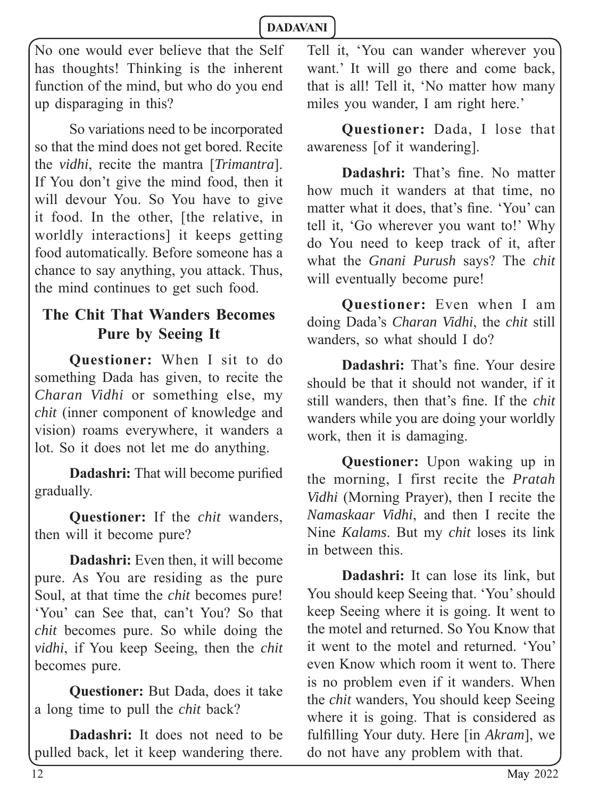No one would ever believe that the Self has thoughts! Thinking is the inherent function of the mind, but who do you end up disparaging in this?

So variations need to be incorporated so that the mind does not get bored. Recite the *vidhi*, recite the mantra [*Trimantra*]. If You don't give the mind food, then it will devour You. So You have to give it food. In the other, [the relative, in worldly interactions] it keeps getting food automatically. Before someone has a chance to say anything, you attack. Thus, the mind continues to get such food.

# **The Chit That Wanders Becomes Pure by Seeing It**

**Questioner:** When I sit to do something Dada has given, to recite the *Charan Vidhi* or something else, my *chit* (inner component of knowledge and vision) roams everywhere, it wanders a lot. So it does not let me do anything.

**Dadashri:** That will become purified gradually.

**Questioner:** If the *chit* wanders, then will it become pure?

**Dadashri:** Even then, it will become pure. As You are residing as the pure Soul, at that time the *chit* becomes pure! 'You' can See that, can't You? So that *chit* becomes pure. So while doing the *vidhi*, if You keep Seeing, then the *chit* becomes pure.

**Questioner:** But Dada, does it take a long time to pull the *chit* back?

**Dadashri:** It does not need to be pulled back, let it keep wandering there. Tell it, 'You can wander wherever you want.' It will go there and come back, that is all! Tell it, 'No matter how many miles you wander, I am right here.'

**Questioner:** Dada, I lose that awareness [of it wandering].

**Dadashri:** That's fine. No matter how much it wanders at that time, no matter what it does, that's fine. 'You' can tell it, 'Go wherever you want to!' Why do You need to keep track of it, after what the *Gnani Purush* says? The *chit* will eventually become pure!

**Questioner:** Even when I am doing Dada's *Charan Vidhi*, the *chit* still wanders, so what should I do?

**Dadashri:** That's fine. Your desire should be that it should not wander, if it still wanders, then that's fine. If the *chit* wanders while you are doing your worldly work, then it is damaging.

**Questioner:** Upon waking up in the morning, I first recite the *Pratah Vidhi* (Morning Prayer), then I recite the *Namaskaar Vidhi*, and then I recite the Nine *Kalams*. But my *chit* loses its link in between this.

**Dadashri:** It can lose its link, but You should keep Seeing that. 'You' should keep Seeing where it is going. It went to the motel and returned. So You Know that it went to the motel and returned. 'You' even Know which room it went to. There is no problem even if it wanders. When the *chit* wanders, You should keep Seeing where it is going. That is considered as fulfilling Your duty. Here [in *Akram*], we do not have any problem with that.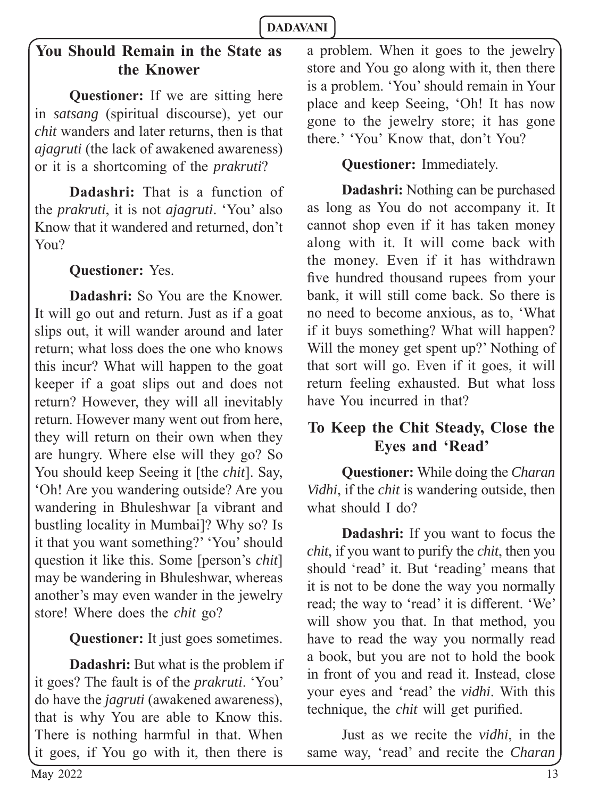# **You Should Remain in the State as the Knower**

**Questioner:** If we are sitting here in *satsang* (spiritual discourse), yet our *chit* wanders and later returns, then is that *ajagruti* (the lack of awakened awareness) or it is a shortcoming of the *prakruti*?

**Dadashri:** That is a function of the *prakruti*, it is not *ajagruti*. 'You' also Know that it wandered and returned, don't You?

#### **Questioner:** Yes.

**Dadashri:** So You are the Knower. It will go out and return. Just as if a goat slips out, it will wander around and later return; what loss does the one who knows this incur? What will happen to the goat keeper if a goat slips out and does not return? However, they will all inevitably return. However many went out from here, they will return on their own when they are hungry. Where else will they go? So You should keep Seeing it [the *chit*]. Say, 'Oh! Are you wandering outside? Are you wandering in Bhuleshwar [a vibrant and bustling locality in Mumbai]? Why so? Is it that you want something?' 'You' should question it like this. Some [person's *chit*] may be wandering in Bhuleshwar, whereas another's may even wander in the jewelry store! Where does the *chit* go?

**Questioner:** It just goes sometimes.

**Dadashri:** But what is the problem if it goes? The fault is of the *prakruti*. 'You' do have the *jagruti* (awakened awareness), that is why You are able to Know this. There is nothing harmful in that. When it goes, if You go with it, then there is

a problem. When it goes to the jewelry store and You go along with it, then there is a problem. 'You' should remain in Your place and keep Seeing, 'Oh! It has now gone to the jewelry store; it has gone there.' 'You' Know that, don't You?

#### **Questioner:** Immediately.

**Dadashri:** Nothing can be purchased as long as You do not accompany it. It cannot shop even if it has taken money along with it. It will come back with the money. Even if it has withdrawn five hundred thousand rupees from your bank, it will still come back. So there is no need to become anxious, as to, 'What if it buys something? What will happen? Will the money get spent up?' Nothing of that sort will go. Even if it goes, it will return feeling exhausted. But what loss have You incurred in that?

# **To Keep the Chit Steady, Close the Eyes and 'Read'**

**Questioner:** While doing the *Charan Vidhi*, if the *chit* is wandering outside, then what should I do?

**Dadashri:** If you want to focus the *chit*, if you want to purify the *chit*, then you should 'read' it. But 'reading' means that it is not to be done the way you normally read; the way to 'read' it is different. 'We' will show you that. In that method, you have to read the way you normally read a book, but you are not to hold the book in front of you and read it. Instead, close your eyes and 'read' the *vidhi*. With this technique, the *chit* will get purified.

Just as we recite the *vidhi*, in the same way, 'read' and recite the *Charan*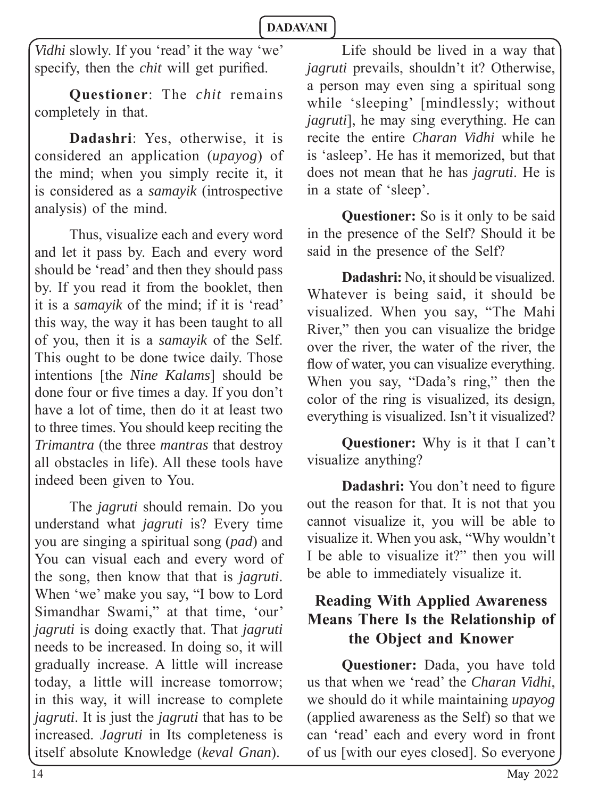*Vidhi* slowly. If you 'read' it the way 'we' specify, then the *chit* will get purified.

**Questioner**: The *chit* remains completely in that.

**Dadashri**: Yes, otherwise, it is considered an application (*upayog*) of the mind; when you simply recite it, it is considered as a *samayik* (introspective analysis) of the mind.

Thus, visualize each and every word and let it pass by. Each and every word should be 'read' and then they should pass by. If you read it from the booklet, then it is a *samayik* of the mind; if it is 'read' this way, the way it has been taught to all of you, then it is a *samayik* of the Self. This ought to be done twice daily. Those intentions [the *Nine Kalams*] should be done four or five times a day. If you don't have a lot of time, then do it at least two to three times. You should keep reciting the *Trimantra* (the three *mantras* that destroy all obstacles in life). All these tools have indeed been given to You.

The *jagruti* should remain. Do you understand what *jagruti* is? Every time you are singing a spiritual song (*pad*) and You can visual each and every word of the song, then know that that is *jagruti*. When 'we' make you say, "I bow to Lord Simandhar Swami," at that time, 'our' *jagruti* is doing exactly that. That *jagruti* needs to be increased. In doing so, it will gradually increase. A little will increase today, a little will increase tomorrow; in this way, it will increase to complete *jagruti*. It is just the *jagruti* that has to be increased. *Jagruti* in Its completeness is itself absolute Knowledge (*keval Gnan*).

Life should be lived in a way that *jagruti* prevails, shouldn't it? Otherwise, a person may even sing a spiritual song while 'sleeping' [mindlessly; without *jagruti*], he may sing everything. He can recite the entire *Charan Vidhi* while he is 'asleep'. He has it memorized, but that does not mean that he has *jagruti*. He is in a state of 'sleep'.

**Questioner:** So is it only to be said in the presence of the Self? Should it be said in the presence of the Self?

**Dadashri:** No, it should be visualized. Whatever is being said, it should be visualized. When you say, "The Mahi River," then you can visualize the bridge over the river, the water of the river, the flow of water, you can visualize everything. When you say, "Dada's ring," then the color of the ring is visualized, its design, everything is visualized. Isn't it visualized?

**Questioner:** Why is it that I can't visualize anything?

**Dadashri:** You don't need to figure out the reason for that. It is not that you cannot visualize it, you will be able to visualize it. When you ask, "Why wouldn't I be able to visualize it?" then you will be able to immediately visualize it.

### **Reading With Applied Awareness Means There Is the Relationship of the Object and Knower**

**Questioner:** Dada, you have told us that when we 'read' the *Charan Vidhi*, we should do it while maintaining *upayog* (applied awareness as the Self) so that we can 'read' each and every word in front of us [with our eyes closed]. So everyone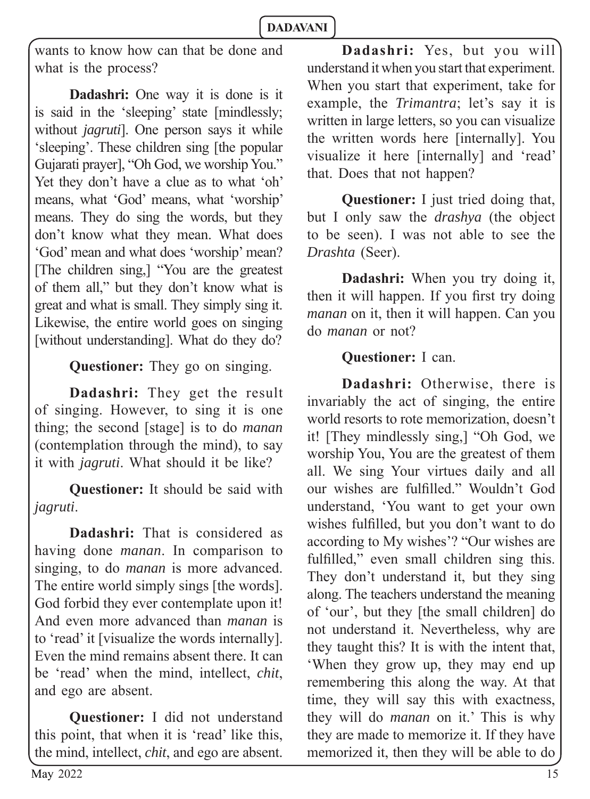wants to know how can that be done and what is the process?

**Dadashri:** One way it is done is it is said in the 'sleeping' state [mindlessly; without *jagruti*]. One person says it while 'sleeping'. These children sing [the popular Gujarati prayer], "Oh God, we worship You." Yet they don't have a clue as to what 'oh' means, what 'God' means, what 'worship' means. They do sing the words, but they don't know what they mean. What does 'God' mean and what does 'worship' mean? [The children sing,] "You are the greatest of them all," but they don't know what is great and what is small. They simply sing it. Likewise, the entire world goes on singing [without understanding]. What do they do?

**Questioner:** They go on singing.

**Dadashri:** They get the result of singing. However, to sing it is one thing; the second [stage] is to do *manan* (contemplation through the mind), to say it with *jagruti*. What should it be like?

**Questioner:** It should be said with *jagruti*.

**Dadashri:** That is considered as having done *manan*. In comparison to singing, to do *manan* is more advanced. The entire world simply sings [the words]. God forbid they ever contemplate upon it! And even more advanced than *manan* is to 'read' it [visualize the words internally]. Even the mind remains absent there. It can be 'read' when the mind, intellect, *chit*, and ego are absent.

**Questioner:** I did not understand this point, that when it is 'read' like this, the mind, intellect, *chit*, and ego are absent.

**Dadashri:** Yes, but you will understand it when you start that experiment. When you start that experiment, take for example, the *Trimantra*; let's say it is written in large letters, so you can visualize the written words here [internally]. You visualize it here [internally] and 'read' that. Does that not happen?

**Questioner:** I just tried doing that, but I only saw the *drashya* (the object to be seen). I was not able to see the *Drashta* (Seer).

**Dadashri:** When you try doing it, then it will happen. If you first try doing *manan* on it, then it will happen. Can you do *manan* or not?

# **Questioner:** I can.

**Dadashri:** Otherwise, there is invariably the act of singing, the entire world resorts to rote memorization, doesn't it! [They mindlessly sing,] "Oh God, we worship You, You are the greatest of them all. We sing Your virtues daily and all our wishes are fulfilled." Wouldn't God understand, 'You want to get your own wishes fulfilled, but you don't want to do according to My wishes'? "Our wishes are fulfilled," even small children sing this. They don't understand it, but they sing along. The teachers understand the meaning of 'our', but they [the small children] do not understand it. Nevertheless, why are they taught this? It is with the intent that, 'When they grow up, they may end up remembering this along the way. At that time, they will say this with exactness, they will do *manan* on it.' This is why they are made to memorize it. If they have memorized it, then they will be able to do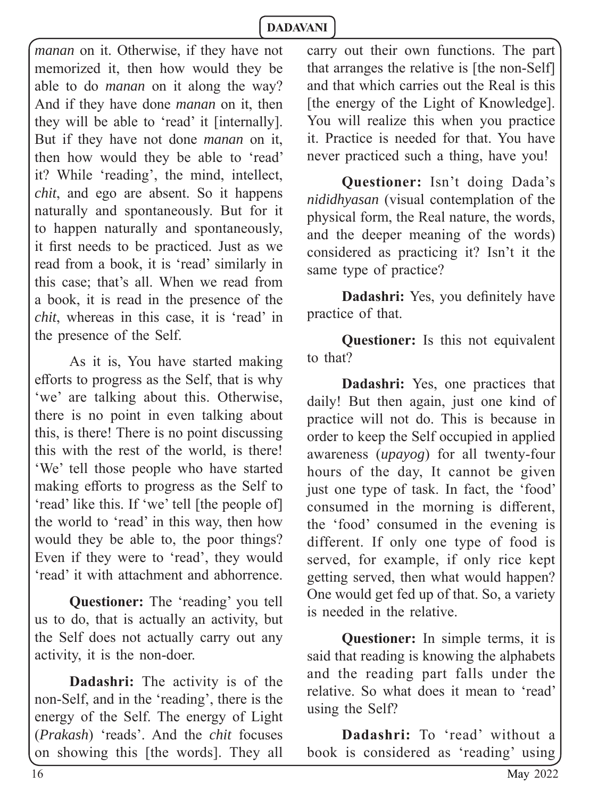*manan* on it. Otherwise, if they have not memorized it, then how would they be able to do *manan* on it along the way? And if they have done *manan* on it, then they will be able to 'read' it [internally]. But if they have not done *manan* on it, then how would they be able to 'read' it? While 'reading', the mind, intellect, *chit*, and ego are absent. So it happens naturally and spontaneously. But for it to happen naturally and spontaneously, it first needs to be practiced. Just as we read from a book, it is 'read' similarly in this case; that's all. When we read from a book, it is read in the presence of the *chit*, whereas in this case, it is 'read' in the presence of the Self.

As it is, You have started making efforts to progress as the Self, that is why 'we' are talking about this. Otherwise, there is no point in even talking about this, is there! There is no point discussing this with the rest of the world, is there! 'We' tell those people who have started making efforts to progress as the Self to 'read' like this. If 'we' tell [the people of] the world to 'read' in this way, then how would they be able to, the poor things? Even if they were to 'read', they would 'read' it with attachment and abhorrence.

**Questioner:** The 'reading' you tell us to do, that is actually an activity, but the Self does not actually carry out any activity, it is the non-doer.

**Dadashri:** The activity is of the non-Self, and in the 'reading', there is the energy of the Self. The energy of Light (*Prakash*) 'reads'. And the *chit* focuses on showing this [the words]. They all carry out their own functions. The part that arranges the relative is [the non-Self] and that which carries out the Real is this [the energy of the Light of Knowledge]. You will realize this when you practice it. Practice is needed for that. You have never practiced such a thing, have you!

**Questioner:** Isn't doing Dada's *nididhyasan* (visual contemplation of the physical form, the Real nature, the words, and the deeper meaning of the words) considered as practicing it? Isn't it the same type of practice?

**Dadashri:** Yes, you definitely have practice of that.

**Questioner:** Is this not equivalent to that?

**Dadashri:** Yes, one practices that daily! But then again, just one kind of practice will not do. This is because in order to keep the Self occupied in applied awareness (*upayog*) for all twenty-four hours of the day, It cannot be given just one type of task. In fact, the 'food' consumed in the morning is different, the 'food' consumed in the evening is different. If only one type of food is served, for example, if only rice kept getting served, then what would happen? One would get fed up of that. So, a variety is needed in the relative.

**Questioner:** In simple terms, it is said that reading is knowing the alphabets and the reading part falls under the relative. So what does it mean to 'read' using the Self?

**Dadashri:** To 'read' without a book is considered as 'reading' using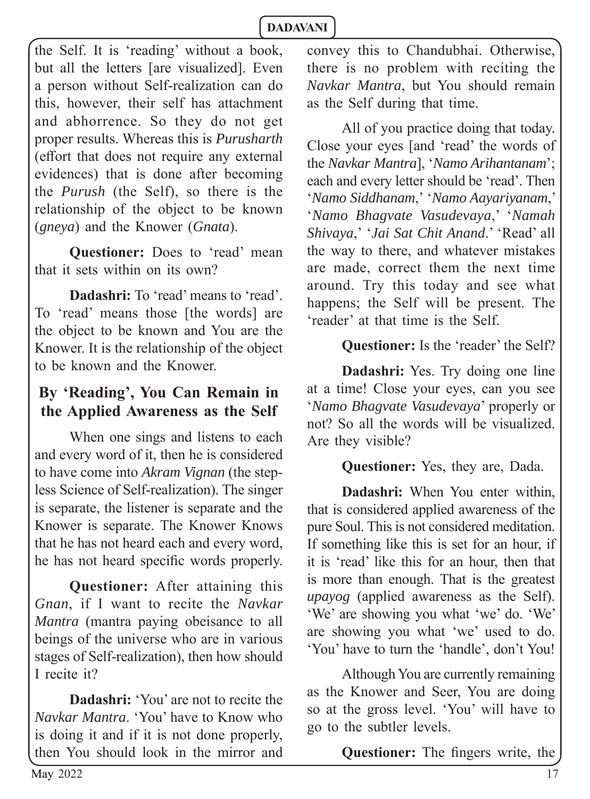the Self. It is 'reading' without a book, but all the letters [are visualized]. Even a person without Self-realization can do this, however, their self has attachment and abhorrence. So they do not get proper results. Whereas this is *Purusharth*  (effort that does not require any external evidences) that is done after becoming the *Purush* (the Self), so there is the relationship of the object to be known (*gneya*) and the Knower (*Gnata*).

**Questioner:** Does to 'read' mean that it sets within on its own?

**Dadashri:** To 'read' means to 'read'. To 'read' means those [the words] are the object to be known and You are the Knower. It is the relationship of the object to be known and the Knower.

#### **By 'Reading', You Can Remain in the Applied Awareness as the Self**

When one sings and listens to each and every word of it, then he is considered to have come into *Akram Vignan* (the stepless Science of Self-realization). The singer is separate, the listener is separate and the Knower is separate. The Knower Knows that he has not heard each and every word, he has not heard specific words properly.

**Questioner:** After attaining this *Gnan*, if I want to recite the *Navkar Mantra* (mantra paying obeisance to all beings of the universe who are in various stages of Self-realization), then how should I recite it?

**Dadashri:** 'You' are not to recite the *Navkar Mantra*. 'You' have to Know who is doing it and if it is not done properly, then You should look in the mirror and convey this to Chandubhai. Otherwise, there is no problem with reciting the *Navkar Mantra*, but You should remain as the Self during that time.

All of you practice doing that today. Close your eyes [and 'read' the words of the *Navkar Mantra*], '*Namo Arihantanam*'; each and every letter should be 'read'. Then '*Namo Siddhanam*,' '*Namo Aayariyanam*,' '*Namo Bhagvate Vasudevaya*,' '*Namah Shivaya*,' '*Jai Sat Chit Anand*.' 'Read' all the way to there, and whatever mistakes are made, correct them the next time around. Try this today and see what happens; the Self will be present. The 'reader' at that time is the Self.

#### **Questioner:** Is the 'reader' the Self?

**Dadashri:** Yes. Try doing one line at a time! Close your eyes, can you see '*Namo Bhagvate Vasudevaya*' properly or not? So all the words will be visualized. Are they visible?

#### **Questioner:** Yes, they are, Dada.

**Dadashri:** When You enter within, that is considered applied awareness of the pure Soul. This is not considered meditation. If something like this is set for an hour, if it is 'read' like this for an hour, then that is more than enough. That is the greatest *upayog* (applied awareness as the Self). 'We' are showing you what 'we' do. 'We' are showing you what 'we' used to do. 'You' have to turn the 'handle', don't You!

Although You are currently remaining as the Knower and Seer, You are doing so at the gross level. 'You' will have to go to the subtler levels.

**Questioner:** The fingers write, the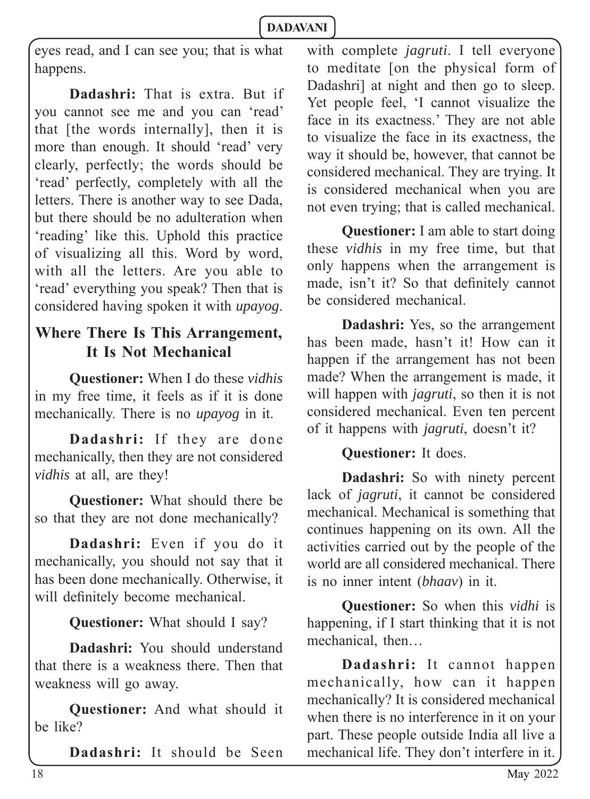eyes read, and I can see you; that is what happens.

**Dadashri:** That is extra. But if you cannot see me and you can 'read' that [the words internally], then it is more than enough. It should 'read' very clearly, perfectly; the words should be 'read' perfectly, completely with all the letters. There is another way to see Dada, but there should be no adulteration when 'reading' like this. Uphold this practice of visualizing all this. Word by word, with all the letters. Are you able to 'read' everything you speak? Then that is considered having spoken it with *upayog*.

# **Where There Is This Arrangement, It Is Not Mechanical**

**Questioner:** When I do these *vidhis* in my free time, it feels as if it is done mechanically. There is no *upayog* in it.

**Dadashri:** If they are done mechanically, then they are not considered *vidhis* at all, are they!

**Questioner:** What should there be so that they are not done mechanically?

**Dadashri:** Even if you do it mechanically, you should not say that it has been done mechanically. Otherwise, it will definitely become mechanical.

**Questioner:** What should I say?

**Dadashri:** You should understand that there is a weakness there. Then that weakness will go away.

**Questioner:** And what should it be like?

**Dadashri:** It should be Seen

with complete *jagruti*. I tell everyone to meditate [on the physical form of Dadashri] at night and then go to sleep. Yet people feel, 'I cannot visualize the face in its exactness.' They are not able to visualize the face in its exactness, the way it should be, however, that cannot be considered mechanical. They are trying. It is considered mechanical when you are not even trying; that is called mechanical.

**Questioner:** I am able to start doing these *vidhis* in my free time, but that only happens when the arrangement is made, isn't it? So that definitely cannot be considered mechanical.

**Dadashri:** Yes, so the arrangement has been made, hasn't it! How can it happen if the arrangement has not been made? When the arrangement is made, it will happen with *jagruti*, so then it is not considered mechanical. Even ten percent of it happens with *jagruti*, doesn't it?

#### **Questioner:** It does.

**Dadashri:** So with ninety percent lack of *jagruti*, it cannot be considered mechanical. Mechanical is something that continues happening on its own. All the activities carried out by the people of the world are all considered mechanical. There is no inner intent (*bhaav*) in it.

**Questioner:** So when this *vidhi* is happening, if I start thinking that it is not mechanical, then…

**Dadashri:** It cannot happen mechanically, how can it happen mechanically? It is considered mechanical when there is no interference in it on your part. These people outside India all live a mechanical life. They don't interfere in it.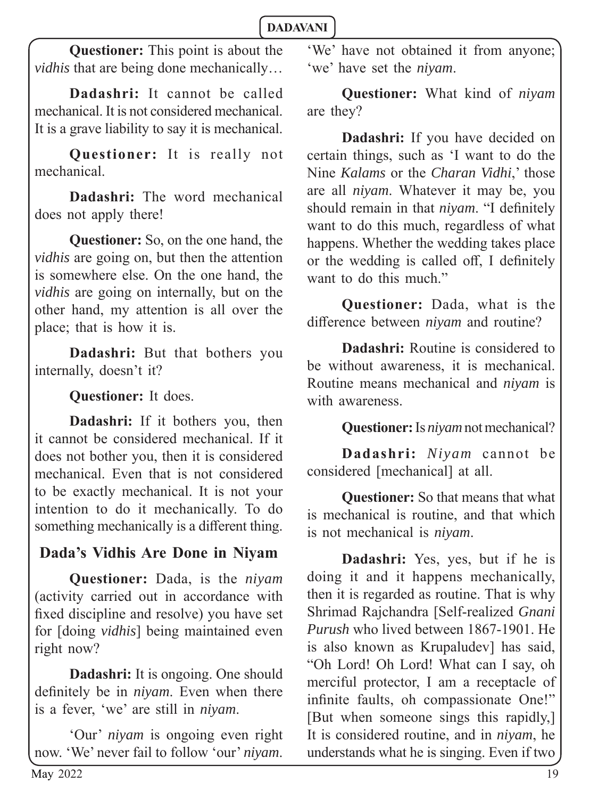**Questioner:** This point is about the *vidhis* that are being done mechanically…

**Dadashri:** It cannot be called mechanical. It is not considered mechanical. It is a grave liability to say it is mechanical.

**Questioner:** It is really not mechanical.

**Dadashri:** The word mechanical does not apply there!

**Questioner:** So, on the one hand, the *vidhis* are going on, but then the attention is somewhere else. On the one hand, the *vidhis* are going on internally, but on the other hand, my attention is all over the place; that is how it is.

**Dadashri:** But that bothers you internally, doesn't it?

**Questioner:** It does.

**Dadashri:** If it bothers you, then it cannot be considered mechanical. If it does not bother you, then it is considered mechanical. Even that is not considered to be exactly mechanical. It is not your intention to do it mechanically. To do something mechanically is a different thing.

# **Dada's Vidhis Are Done in Niyam**

**Questioner:** Dada, is the *niyam* (activity carried out in accordance with fixed discipline and resolve) you have set for [doing *vidhis*] being maintained even right now?

**Dadashri:** It is ongoing. One should definitely be in *nivam*. Even when there is a fever, 'we' are still in *niyam*.

'Our' *niyam* is ongoing even right now. 'We' never fail to follow 'our' *niyam*.

'We' have not obtained it from anyone; 'we' have set the *niyam*.

**Questioner:** What kind of *niyam* are they?

**Dadashri:** If you have decided on certain things, such as 'I want to do the Nine *Kalams* or the *Charan Vidhi*,' those are all *niyam*. Whatever it may be, you should remain in that *niyam*. "I definitely want to do this much, regardless of what happens. Whether the wedding takes place or the wedding is called off, I definitely want to do this much."

**Questioner:** Dada, what is the difference between *niyam* and routine?

**Dadashri:** Routine is considered to be without awareness, it is mechanical. Routine means mechanical and *niyam* is with awareness.

**Questioner:** Is *niyam* not mechanical?

**Dadashri:** *Niyam* cannot be considered [mechanical] at all.

**Questioner:** So that means that what is mechanical is routine, and that which is not mechanical is *niyam*.

**Dadashri:** Yes, yes, but if he is doing it and it happens mechanically, then it is regarded as routine. That is why Shrimad Rajchandra [Self-realized *Gnani Purush* who lived between 1867-1901. He is also known as Krupaludev] has said, "Oh Lord! Oh Lord! What can I say, oh merciful protector, I am a receptacle of infinite faults, oh compassionate One!" [But when someone sings this rapidly,] It is considered routine, and in *niyam*, he understands what he is singing. Even if two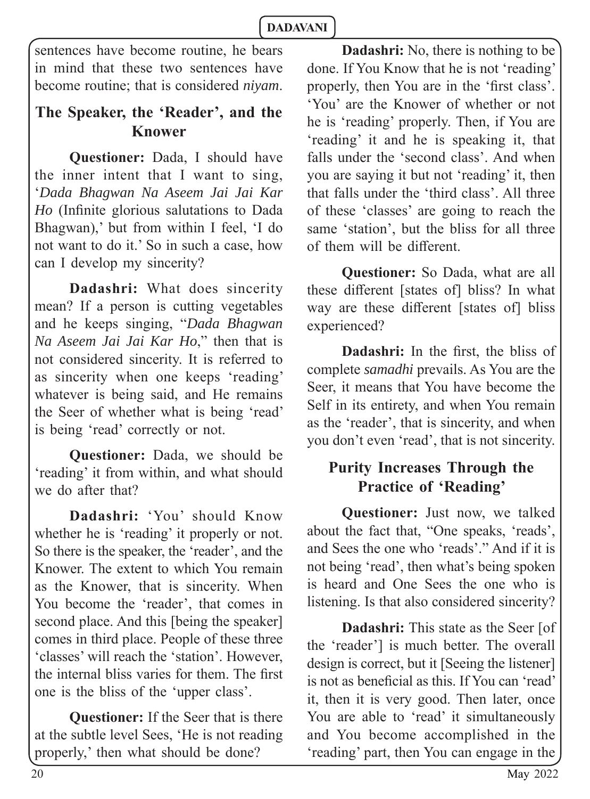sentences have become routine, he bears in mind that these two sentences have become routine; that is considered *niyam*.

# **The Speaker, the 'Reader', and the Knower**

**Questioner:** Dada, I should have the inner intent that I want to sing, '*Dada Bhagwan Na Aseem Jai Jai Kar Ho* (Infinite glorious salutations to Dada Bhagwan),' but from within I feel, 'I do not want to do it.' So in such a case, how can I develop my sincerity?

**Dadashri:** What does sincerity mean? If a person is cutting vegetables and he keeps singing, "*Dada Bhagwan Na Aseem Jai Jai Kar Ho*," then that is not considered sincerity. It is referred to as sincerity when one keeps 'reading' whatever is being said, and He remains the Seer of whether what is being 'read' is being 'read' correctly or not.

**Questioner:** Dada, we should be 'reading' it from within, and what should we do after that?

**Dadashri:** 'You' should Know whether he is 'reading' it properly or not. So there is the speaker, the 'reader', and the Knower. The extent to which You remain as the Knower, that is sincerity. When You become the 'reader', that comes in second place. And this [being the speaker] comes in third place. People of these three 'classes' will reach the 'station'. However, the internal bliss varies for them. The first one is the bliss of the 'upper class'.

**Questioner:** If the Seer that is there at the subtle level Sees, 'He is not reading properly,' then what should be done?

**Dadashri:** No, there is nothing to be done. If You Know that he is not 'reading' properly, then You are in the 'first class'. 'You' are the Knower of whether or not he is 'reading' properly. Then, if You are 'reading' it and he is speaking it, that falls under the 'second class'. And when you are saying it but not 'reading' it, then that falls under the 'third class'. All three of these 'classes' are going to reach the same 'station', but the bliss for all three of them will be different.

**Questioner:** So Dada, what are all these different [states of] bliss? In what way are these different [states of] bliss experienced?

**Dadashri:** In the first, the bliss of complete *samadhi* prevails. As You are the Seer, it means that You have become the Self in its entirety, and when You remain as the 'reader', that is sincerity, and when you don't even 'read', that is not sincerity.

# **Purity Increases Through the Practice of 'Reading'**

**Questioner:** Just now, we talked about the fact that, "One speaks, 'reads', and Sees the one who 'reads'." And if it is not being 'read', then what's being spoken is heard and One Sees the one who is listening. Is that also considered sincerity?

**Dadashri:** This state as the Seer [of] the 'reader'] is much better. The overall design is correct, but it [Seeing the listener] is not as beneficial as this. If You can 'read' it, then it is very good. Then later, once You are able to 'read' it simultaneously and You become accomplished in the 'reading' part, then You can engage in the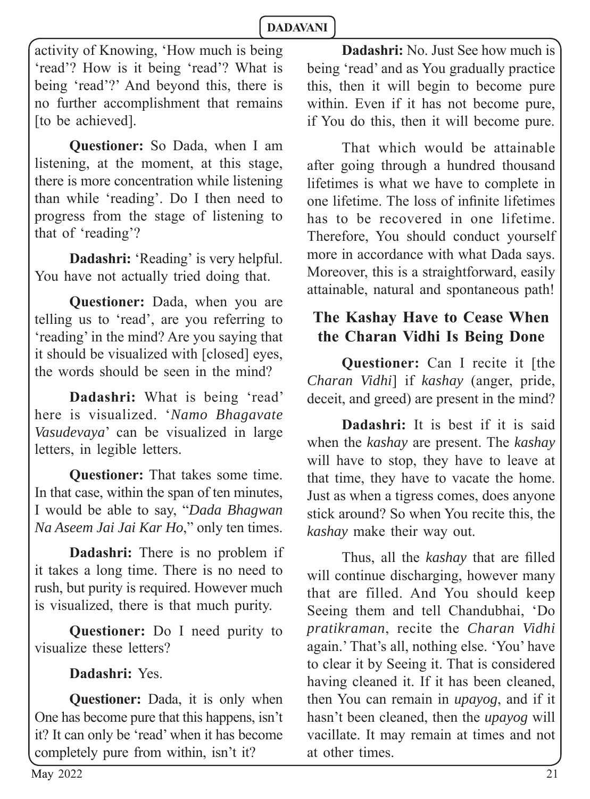activity of Knowing, 'How much is being 'read'? How is it being 'read'? What is being 'read'?' And beyond this, there is no further accomplishment that remains [to be achieved].

**Questioner:** So Dada, when I am listening, at the moment, at this stage, there is more concentration while listening than while 'reading'. Do I then need to progress from the stage of listening to that of 'reading'?

**Dadashri:** 'Reading' is very helpful. You have not actually tried doing that.

**Questioner:** Dada, when you are telling us to 'read', are you referring to 'reading' in the mind? Are you saying that it should be visualized with [closed] eyes, the words should be seen in the mind?

**Dadashri:** What is being 'read' here is visualized. '*Namo Bhagavate Vasudevaya*' can be visualized in large letters, in legible letters.

**Questioner:** That takes some time. In that case, within the span of ten minutes, I would be able to say, "*Dada Bhagwan Na Aseem Jai Jai Kar Ho*," only ten times.

**Dadashri:** There is no problem if it takes a long time. There is no need to rush, but purity is required. However much is visualized, there is that much purity.

**Questioner:** Do I need purity to visualize these letters?

**Dadashri:** Yes.

**Questioner:** Dada, it is only when One has become pure that this happens, isn't it? It can only be 'read' when it has become completely pure from within, isn't it?

**Dadashri:** No. Just See how much is being 'read' and as You gradually practice this, then it will begin to become pure within. Even if it has not become pure, if You do this, then it will become pure.

That which would be attainable after going through a hundred thousand lifetimes is what we have to complete in one lifetime. The loss of infinite lifetimes has to be recovered in one lifetime. Therefore, You should conduct yourself more in accordance with what Dada says. Moreover, this is a straightforward, easily attainable, natural and spontaneous path!

# **The Kashay Have to Cease When the Charan Vidhi Is Being Done**

**Questioner:** Can I recite it [the *Charan Vidhi*] if *kashay* (anger, pride, deceit, and greed) are present in the mind?

**Dadashri:** It is best if it is said when the *kashay* are present. The *kashay* will have to stop, they have to leave at that time, they have to vacate the home. Just as when a tigress comes, does anyone stick around? So when You recite this, the *kashay* make their way out.

Thus, all the *kashay* that are filled will continue discharging, however many that are filled. And You should keep Seeing them and tell Chandubhai, 'Do *pratikraman*, recite the *Charan Vidhi*  again.' That's all, nothing else. 'You' have to clear it by Seeing it. That is considered having cleaned it. If it has been cleaned, then You can remain in *upayog*, and if it hasn't been cleaned, then the *upayog* will vacillate. It may remain at times and not at other times.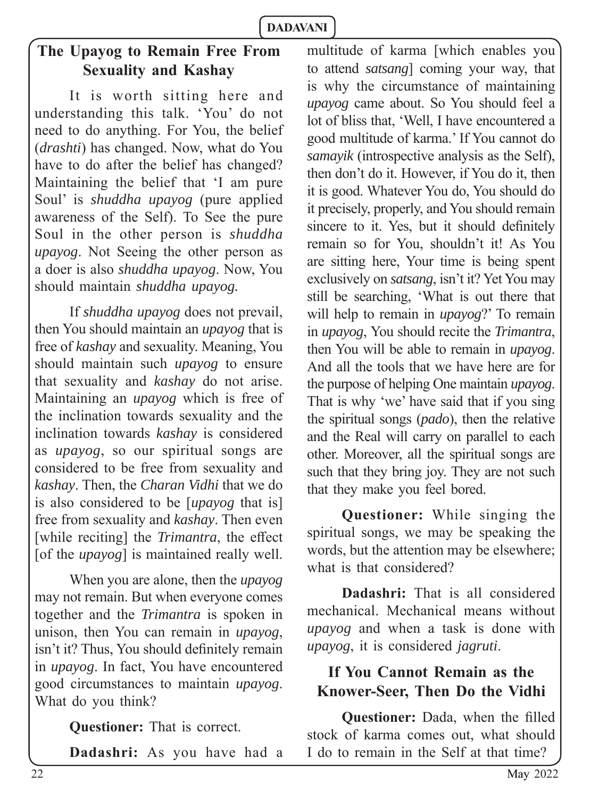# **The Upayog to Remain Free From Sexuality and Kashay**

It is worth sitting here and understanding this talk. 'You' do not need to do anything. For You, the belief (*drashti*) has changed. Now, what do You have to do after the belief has changed? Maintaining the belief that 'I am pure Soul' is *shuddha upayog* (pure applied awareness of the Self). To See the pure Soul in the other person is *shuddha upayog*. Not Seeing the other person as a doer is also *shuddha upayog*. Now, You should maintain *shuddha upayog.*

If *shuddha upayog* does not prevail, then You should maintain an *upayog* that is free of *kashay* and sexuality. Meaning, You should maintain such *upayog* to ensure that sexuality and *kashay* do not arise. Maintaining an *upayog* which is free of the inclination towards sexuality and the inclination towards *kashay* is considered as *upayog*, so our spiritual songs are considered to be free from sexuality and *kashay*. Then, the *Charan Vidhi* that we do is also considered to be [*upayog* that is] free from sexuality and *kashay*. Then even [while reciting] the *Trimantra*, the effect [of the *upayog*] is maintained really well.

When you are alone, then the *upayog*  may not remain. But when everyone comes together and the *Trimantra* is spoken in unison, then You can remain in *upayog*, isn't it? Thus, You should definitely remain in *upayog*. In fact, You have encountered good circumstances to maintain *upayog*. What do you think?

**Questioner:** That is correct.

**Dadashri:** As you have had a

multitude of karma [which enables you to attend *satsang*] coming your way, that is why the circumstance of maintaining *upayog* came about. So You should feel a lot of bliss that, 'Well, I have encountered a good multitude of karma.' If You cannot do *samayik* (introspective analysis as the Self), then don't do it. However, if You do it, then it is good. Whatever You do, You should do it precisely, properly, and You should remain sincere to it. Yes, but it should definitely remain so for You, shouldn't it! As You are sitting here, Your time is being spent exclusively on *satsang*, isn't it? Yet You may still be searching, 'What is out there that will help to remain in *upayog*?' To remain in *upayog*, You should recite the *Trimantra*, then You will be able to remain in *upayog*. And all the tools that we have here are for the purpose of helping One maintain *upayog*. That is why 'we' have said that if you sing the spiritual songs (*pado*), then the relative and the Real will carry on parallel to each other. Moreover, all the spiritual songs are such that they bring joy. They are not such that they make you feel bored.

**Questioner:** While singing the spiritual songs, we may be speaking the words, but the attention may be elsewhere; what is that considered?

**Dadashri:** That is all considered mechanical. Mechanical means without *upayog* and when a task is done with *upayog*, it is considered *jagruti*.

#### **If You Cannot Remain as the Knower-Seer, Then Do the Vidhi**

**Questioner:** Dada, when the filled stock of karma comes out, what should I do to remain in the Self at that time?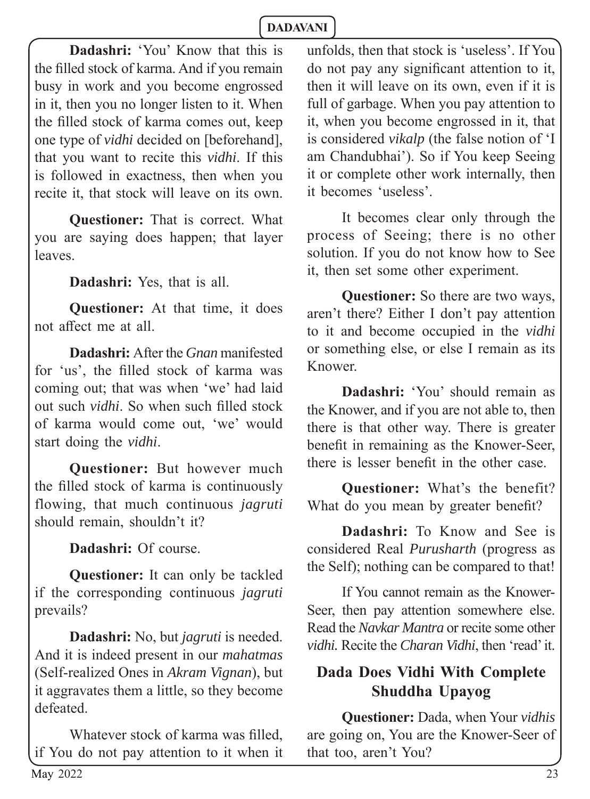**Dadashri:** 'You' Know that this is the filled stock of karma. And if you remain busy in work and you become engrossed in it, then you no longer listen to it. When the filled stock of karma comes out, keep one type of *vidhi* decided on [beforehand], that you want to recite this *vidhi*. If this is followed in exactness, then when you recite it, that stock will leave on its own.

**Questioner:** That is correct. What you are saying does happen; that layer leaves.

**Dadashri:** Yes, that is all.

**Questioner:** At that time, it does not affect me at all

**Dadashri:** After the *Gnan* manifested for 'us', the filled stock of karma was coming out; that was when 'we' had laid out such *vidhi*. So when such filled stock of karma would come out, 'we' would start doing the *vidhi*.

**Questioner:** But however much the filled stock of karma is continuously flowing, that much continuous *jagruti* should remain, shouldn't it?

**Dadashri:** Of course.

**Questioner:** It can only be tackled if the corresponding continuous *jagruti* prevails?

**Dadashri:** No, but *jagruti* is needed. And it is indeed present in our *mahatmas*  (Self-realized Ones in *Akram Vignan*), but it aggravates them a little, so they become defeated.

Whatever stock of karma was filled. if You do not pay attention to it when it unfolds, then that stock is 'useless'. If You do not pay any significant attention to it, then it will leave on its own, even if it is full of garbage. When you pay attention to it, when you become engrossed in it, that is considered *vikalp* (the false notion of 'I am Chandubhai'). So if You keep Seeing it or complete other work internally, then it becomes 'useless'.

It becomes clear only through the process of Seeing; there is no other solution. If you do not know how to See it, then set some other experiment.

**Questioner:** So there are two ways, aren't there? Either I don't pay attention to it and become occupied in the *vidhi* or something else, or else I remain as its Knower.

**Dadashri:** 'You' should remain as the Knower, and if you are not able to, then there is that other way. There is greater benefit in remaining as the Knower-Seer, there is lesser benefit in the other case.

**Questioner:** What's the benefit? What do you mean by greater benefit?

**Dadashri:** To Know and See is considered Real *Purusharth* (progress as the Self); nothing can be compared to that!

If You cannot remain as the Knower-Seer, then pay attention somewhere else. Read the *Navkar Mantra* or recite some other *vidhi.* Recite the *Charan Vidhi*, then 'read' it.

# **Dada Does Vidhi With Complete Shuddha Upayog**

**Questioner:** Dada, when Your *vidhis* are going on, You are the Knower-Seer of that too, aren't You?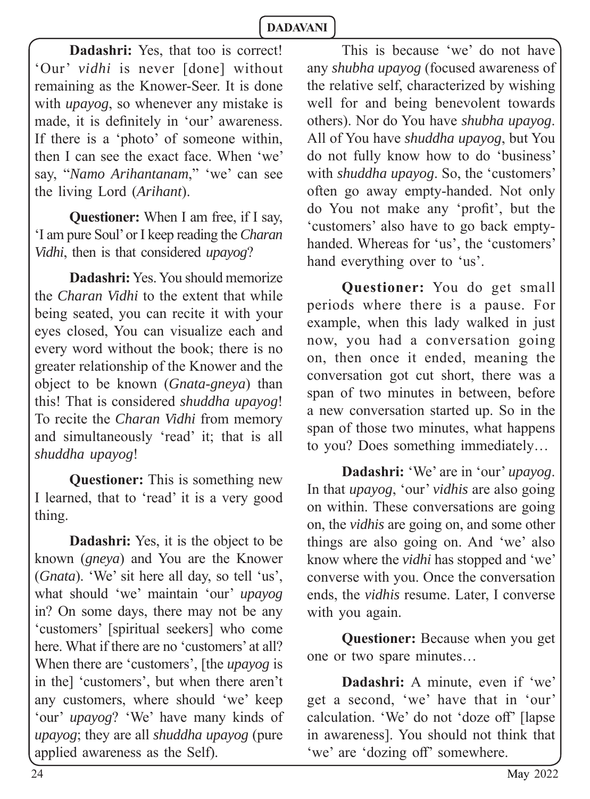**Dadashri:** Yes, that too is correct! 'Our' *vidhi* is never [done] without remaining as the Knower-Seer. It is done with *upayog*, so whenever any mistake is made, it is definitely in 'our' awareness. If there is a 'photo' of someone within, then I can see the exact face. When 'we' say, "*Namo Arihantanam*," 'we' can see the living Lord (*Arihant*).

**Questioner:** When I am free, if I say, 'I am pure Soul' or I keep reading the *Charan Vidhi*, then is that considered *upayog*?

**Dadashri:** Yes. You should memorize the *Charan Vidhi* to the extent that while being seated, you can recite it with your eyes closed, You can visualize each and every word without the book; there is no greater relationship of the Knower and the object to be known (*Gnata*-*gneya*) than this! That is considered *shuddha upayog*! To recite the *Charan Vidhi* from memory and simultaneously 'read' it; that is all *shuddha upayog*!

**Questioner:** This is something new I learned, that to 'read' it is a very good thing.

**Dadashri:** Yes, it is the object to be known (*gneya*) and You are the Knower (*Gnata*). 'We' sit here all day, so tell 'us', what should 'we' maintain 'our' *upayog* in? On some days, there may not be any 'customers' [spiritual seekers] who come here. What if there are no 'customers' at all? When there are 'customers', [the *upayog* is in the] 'customers', but when there aren't any customers, where should 'we' keep 'our' *upayog*? 'We' have many kinds of *upayog*; they are all *shuddha upayog* (pure applied awareness as the Self).

This is because 'we' do not have any *shubha upayog* (focused awareness of the relative self, characterized by wishing well for and being benevolent towards others). Nor do You have *shubha upayog*. All of You have *shuddha upayog*, but You do not fully know how to do 'business' with *shuddha upayog*. So, the 'customers' often go away empty-handed. Not only do You not make any 'profit', but the 'customers' also have to go back emptyhanded. Whereas for 'us', the 'customers' hand everything over to 'us'.

**Questioner:** You do get small periods where there is a pause. For example, when this lady walked in just now, you had a conversation going on, then once it ended, meaning the conversation got cut short, there was a span of two minutes in between, before a new conversation started up. So in the span of those two minutes, what happens to you? Does something immediately…

**Dadashri:** 'We' are in 'our' *upayog*. In that *upayog*, 'our' *vidhis* are also going on within. These conversations are going on, the *vidhis* are going on, and some other things are also going on. And 'we' also know where the *vidhi* has stopped and 'we' converse with you. Once the conversation ends, the *vidhis* resume. Later, I converse with you again.

**Questioner:** Because when you get one or two spare minutes…

**Dadashri:** A minute, even if 'we' get a second, 'we' have that in 'our' calculation. 'We' do not 'doze off' [lapse in awareness]. You should not think that 'we' are 'dozing off' somewhere.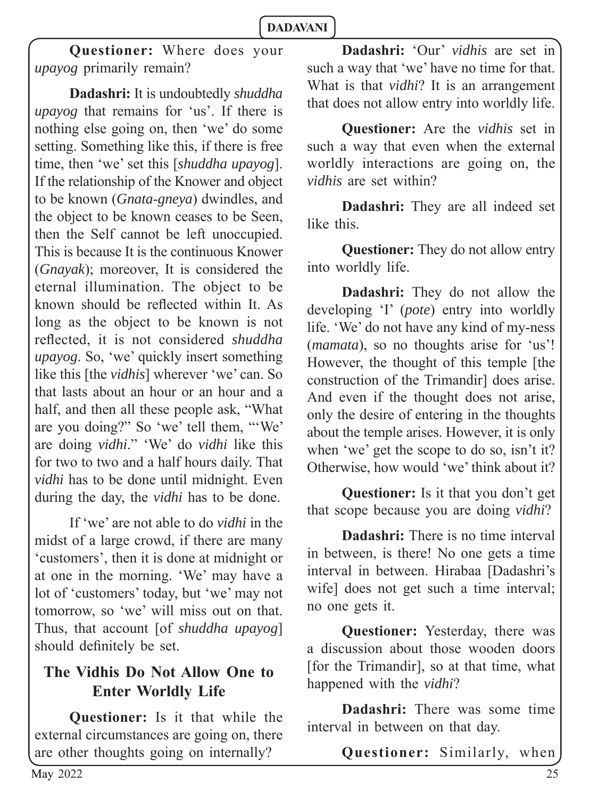**Questioner:** Where does your *upayog* primarily remain?

**Dadashri:** It is undoubtedly *shuddha upayog* that remains for 'us'. If there is nothing else going on, then 'we' do some setting. Something like this, if there is free time, then 'we' set this [*shuddha upayog*]. If the relationship of the Knower and object to be known (*Gnata*-*gneya*) dwindles, and the object to be known ceases to be Seen, then the Self cannot be left unoccupied. This is because It is the continuous Knower (*Gnayak*); moreover, It is considered the eternal illumination. The object to be known should be reflected within It. As long as the object to be known is not reflected, it is not considered *shuddha upayog*. So, 'we' quickly insert something like this [the *vidhis*] wherever 'we' can. So that lasts about an hour or an hour and a half, and then all these people ask, "What are you doing?" So 'we' tell them, "'We' are doing *vidhi*." 'We' do *vidhi* like this for two to two and a half hours daily. That *vidhi* has to be done until midnight. Even during the day, the *vidhi* has to be done.

If 'we' are not able to do *vidhi* in the midst of a large crowd, if there are many 'customers', then it is done at midnight or at one in the morning. 'We' may have a lot of 'customers' today, but 'we' may not tomorrow, so 'we' will miss out on that. Thus, that account [of *shuddha upayog*] should definitely be set.

#### **The Vidhis Do Not Allow One to Enter Worldly Life**

**Questioner:** Is it that while the external circumstances are going on, there are other thoughts going on internally?

**Dadashri:** 'Our' *vidhis* are set in such a way that 'we' have no time for that. What is that *vidhi*? It is an arrangement that does not allow entry into worldly life.

**Questioner:** Are the *vidhis* set in such a way that even when the external worldly interactions are going on, the *vidhis* are set within?

**Dadashri:** They are all indeed set like this.

**Questioner:** They do not allow entry into worldly life.

**Dadashri:** They do not allow the developing 'I' (*pote*) entry into worldly life. 'We' do not have any kind of my-ness (*mamata*), so no thoughts arise for 'us'! However, the thought of this temple [the construction of the Trimandir] does arise. And even if the thought does not arise, only the desire of entering in the thoughts about the temple arises. However, it is only when 'we' get the scope to do so, isn't it? Otherwise, how would 'we' think about it?

**Questioner:** Is it that you don't get that scope because you are doing *vidhi*?

**Dadashri:** There is no time interval in between, is there! No one gets a time interval in between. Hirabaa [Dadashri's wife] does not get such a time interval; no one gets it.

**Questioner:** Yesterday, there was a discussion about those wooden doors [for the Trimandir], so at that time, what happened with the *vidhi*?

**Dadashri:** There was some time interval in between on that day.

**Questioner:** Similarly, when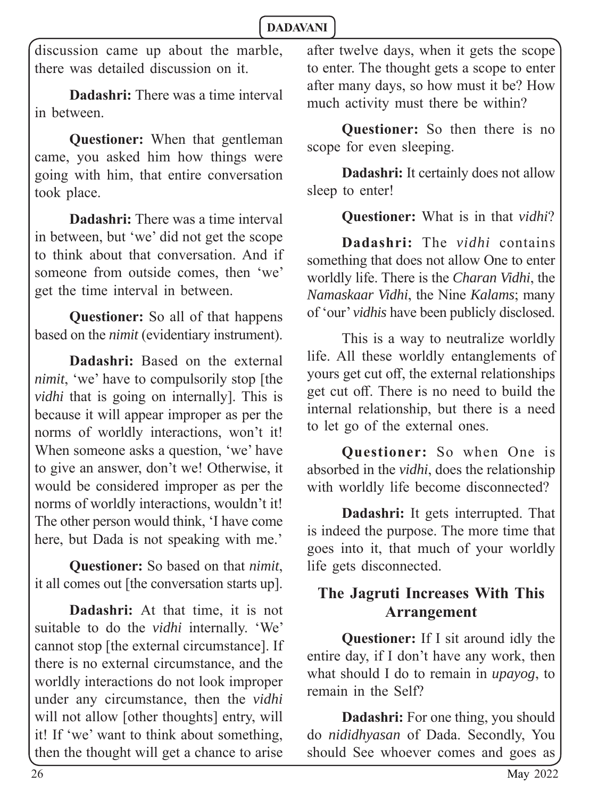discussion came up about the marble, there was detailed discussion on it.

**Dadashri:** There was a time interval in between.

**Questioner:** When that gentleman came, you asked him how things were going with him, that entire conversation took place.

**Dadashri:** There was a time interval in between, but 'we' did not get the scope to think about that conversation. And if someone from outside comes, then 'we' get the time interval in between.

**Questioner:** So all of that happens based on the *nimit* (evidentiary instrument).

**Dadashri:** Based on the external *nimit*, 'we' have to compulsorily stop [the *vidhi* that is going on internally]. This is because it will appear improper as per the norms of worldly interactions, won't it! When someone asks a question, 'we' have to give an answer, don't we! Otherwise, it would be considered improper as per the norms of worldly interactions, wouldn't it! The other person would think, 'I have come here, but Dada is not speaking with me.'

**Questioner:** So based on that *nimit*, it all comes out [the conversation starts up].

**Dadashri:** At that time, it is not suitable to do the *vidhi* internally. 'We' cannot stop [the external circumstance]. If there is no external circumstance, and the worldly interactions do not look improper under any circumstance, then the *vidhi*  will not allow [other thoughts] entry, will it! If 'we' want to think about something, then the thought will get a chance to arise

after twelve days, when it gets the scope to enter. The thought gets a scope to enter after many days, so how must it be? How much activity must there be within?

**Questioner:** So then there is no scope for even sleeping.

**Dadashri:** It certainly does not allow sleep to enter!

**Questioner:** What is in that *vidhi*?

**Dadashri:** The *vidhi* contains something that does not allow One to enter worldly life. There is the *Charan Vidhi*, the *Namaskaar Vidhi*, the Nine *Kalams*; many of 'our' *vidhis* have been publicly disclosed.

This is a way to neutralize worldly life. All these worldly entanglements of yours get cut off, the external relationships get cut off. There is no need to build the internal relationship, but there is a need to let go of the external ones.

**Questioner:** So when One is absorbed in the *vidhi*, does the relationship with worldly life become disconnected?

**Dadashri:** It gets interrupted. That is indeed the purpose. The more time that goes into it, that much of your worldly life gets disconnected.

# **The Jagruti Increases With This Arrangement**

**Questioner:** If I sit around idly the entire day, if I don't have any work, then what should I do to remain in *upayog*, to remain in the Self?

**Dadashri:** For one thing, you should do *nididhyasan* of Dada. Secondly, You should See whoever comes and goes as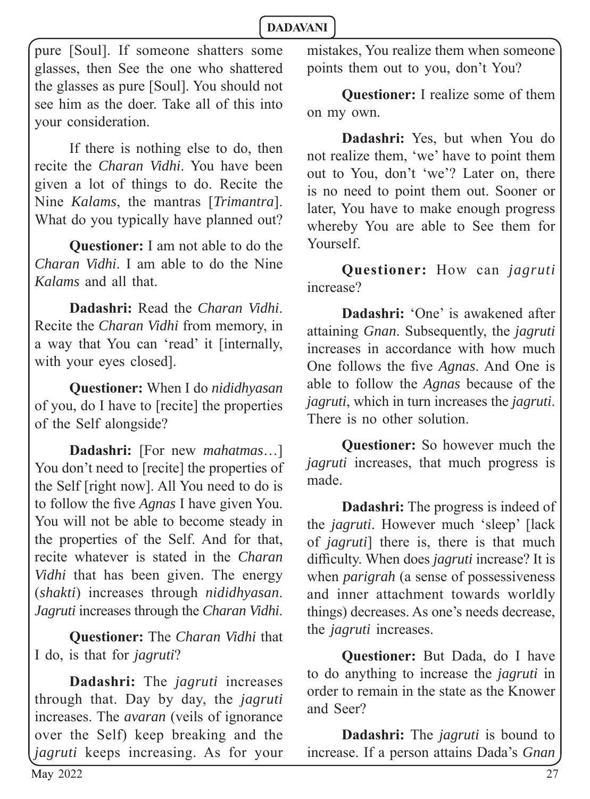pure [Soul]. If someone shatters some glasses, then See the one who shattered the glasses as pure [Soul]. You should not see him as the doer. Take all of this into your consideration.

If there is nothing else to do, then recite the *Charan Vidhi*. You have been given a lot of things to do. Recite the Nine *Kalams*, the mantras [*Trimantra*]. What do you typically have planned out?

**Questioner:** I am not able to do the *Charan Vidhi*. I am able to do the Nine *Kalams* and all that.

**Dadashri:** Read the *Charan Vidhi*. Recite the *Charan Vidhi* from memory, in a way that You can 'read' it [internally, with your eyes closed].

**Questioner:** When I do *nididhyasan*  of you, do I have to [recite] the properties of the Self alongside?

**Dadashri:** [For new *mahatmas*…] You don't need to [recite] the properties of the Self [right now]. All You need to do is to follow the five *Agnas* I have given You. You will not be able to become steady in the properties of the Self. And for that, recite whatever is stated in the *Charan Vidhi* that has been given. The energy (*shakti*) increases through *nididhyasan*. *Jagruti* increases through the *Charan Vidhi*.

**Questioner:** The *Charan Vidhi* that I do, is that for *jagruti*?

**Dadashri:** The *jagruti* increases through that. Day by day, the *jagruti* increases. The *avaran* (veils of ignorance over the Self) keep breaking and the *jagruti* keeps increasing. As for your mistakes, You realize them when someone points them out to you, don't You?

**Questioner:** I realize some of them on my own.

**Dadashri:** Yes, but when You do not realize them, 'we' have to point them out to You, don't 'we'? Later on, there is no need to point them out. Sooner or later, You have to make enough progress whereby You are able to See them for Yourself.

**Questioner:** How can *jagruti* increase?

**Dadashri:** 'One' is awakened after attaining *Gnan*. Subsequently, the *jagruti* increases in accordance with how much One follows the five *Agnas*. And One is able to follow the *Agnas* because of the *jagruti*, which in turn increases the *jagruti*. There is no other solution.

**Questioner:** So however much the *jagruti* increases, that much progress is made.

**Dadashri:** The progress is indeed of the *jagruti*. However much 'sleep' [lack of *jagruti*] there is, there is that much difficulty. When does *jagruti* increase? It is when *parigrah* (a sense of possessiveness and inner attachment towards worldly things) decreases. As one's needs decrease, the *jagruti* increases.

**Questioner:** But Dada, do I have to do anything to increase the *jagruti* in order to remain in the state as the Knower and Seer?

**Dadashri:** The *jagruti* is bound to increase. If a person attains Dada's *Gnan*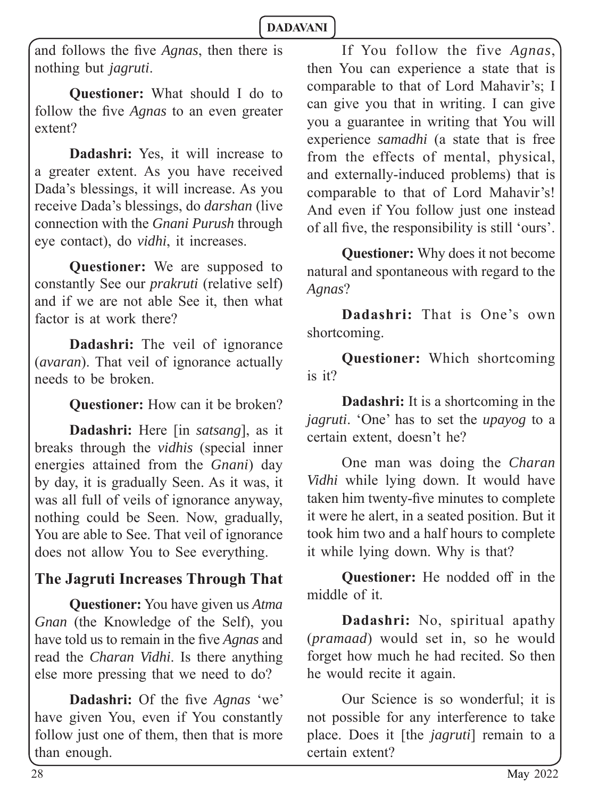and follows the five *Agnas*, then there is nothing but *jagruti*.

**Questioner:** What should I do to follow the five *Agnas* to an even greater extent?

**Dadashri:** Yes, it will increase to a greater extent. As you have received Dada's blessings, it will increase. As you receive Dada's blessings, do *darshan* (live connection with the *Gnani Purush* through eye contact), do *vidhi*, it increases.

**Questioner:** We are supposed to constantly See our *prakruti* (relative self) and if we are not able See it, then what factor is at work there?

**Dadashri:** The veil of ignorance (*avaran*). That veil of ignorance actually needs to be broken.

**Questioner:** How can it be broken?

**Dadashri:** Here [in *satsang*], as it breaks through the *vidhis* (special inner energies attained from the *Gnani*) day by day, it is gradually Seen. As it was, it was all full of veils of ignorance anyway, nothing could be Seen. Now, gradually, You are able to See. That veil of ignorance does not allow You to See everything.

# **The Jagruti Increases Through That**

**Questioner:** You have given us *Atma Gnan* (the Knowledge of the Self), you have told us to remain in the five *Agnas* and read the *Charan Vidhi*. Is there anything else more pressing that we need to do?

**Dadashri:** Of the five *Agnas* 'we' have given You, even if You constantly follow just one of them, then that is more than enough.

If You follow the five *Agnas*, then You can experience a state that is comparable to that of Lord Mahavir's; I can give you that in writing. I can give you a guarantee in writing that You will experience *samadhi* (a state that is free from the effects of mental, physical, and externally-induced problems) that is comparable to that of Lord Mahavir's! And even if You follow just one instead of all five, the responsibility is still 'ours'.

**Questioner:** Why does it not become natural and spontaneous with regard to the *Agnas*?

**Dadashri:** That is One's own shortcoming.

**Questioner:** Which shortcoming is it?

**Dadashri:** It is a shortcoming in the *jagruti*. 'One' has to set the *upayog* to a certain extent, doesn't he?

One man was doing the *Charan Vidhi* while lying down. It would have taken him twenty-five minutes to complete it were he alert, in a seated position. But it took him two and a half hours to complete it while lying down. Why is that?

**Questioner:** He nodded off in the middle of it.

**Dadashri:** No, spiritual apathy (*pramaad*) would set in, so he would forget how much he had recited. So then he would recite it again.

Our Science is so wonderful; it is not possible for any interference to take place. Does it [the *jagruti*] remain to a certain extent?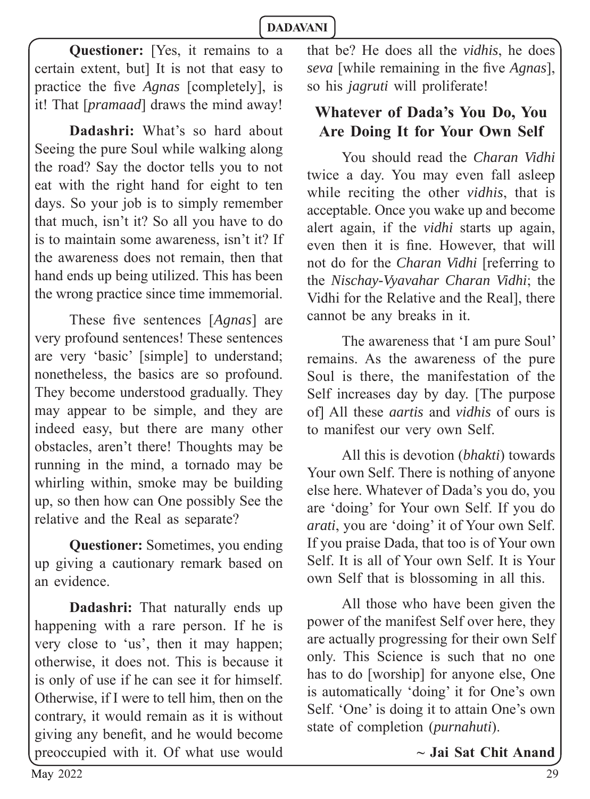Questioner: [Yes, it remains to a certain extent, but] It is not that easy to practice the five *Agnas* [completely], is it! That [*pramaad*] draws the mind away!

**Dadashri:** What's so hard about Seeing the pure Soul while walking along the road? Say the doctor tells you to not eat with the right hand for eight to ten days. So your job is to simply remember that much, isn't it? So all you have to do is to maintain some awareness, isn't it? If the awareness does not remain, then that hand ends up being utilized. This has been the wrong practice since time immemorial.

These five sentences [*Agnas*] are very profound sentences! These sentences are very 'basic' [simple] to understand; nonetheless, the basics are so profound. They become understood gradually. They may appear to be simple, and they are indeed easy, but there are many other obstacles, aren't there! Thoughts may be running in the mind, a tornado may be whirling within, smoke may be building up, so then how can One possibly See the relative and the Real as separate?

**Questioner:** Sometimes, you ending up giving a cautionary remark based on an evidence.

**Dadashri:** That naturally ends up happening with a rare person. If he is very close to 'us', then it may happen; otherwise, it does not. This is because it is only of use if he can see it for himself. Otherwise, if I were to tell him, then on the contrary, it would remain as it is without giving any benefit, and he would become preoccupied with it. Of what use would that be? He does all the *vidhis*, he does *seva* [while remaining in the five *Agnas*], so his *jagruti* will proliferate!

# **Whatever of Dada's You Do, You Are Doing It for Your Own Self**

You should read the *Charan Vidhi* twice a day. You may even fall asleep while reciting the other *vidhis*, that is acceptable. Once you wake up and become alert again, if the *vidhi* starts up again, even then it is fine. However, that will not do for the *Charan Vidhi* [referring to the *Nischay-Vyavahar Charan Vidhi*; the Vidhi for the Relative and the Real], there cannot be any breaks in it.

The awareness that 'I am pure Soul' remains. As the awareness of the pure Soul is there, the manifestation of the Self increases day by day. [The purpose of] All these *aartis* and *vidhis* of ours is to manifest our very own Self.

All this is devotion (*bhakti*) towards Your own Self. There is nothing of anyone else here. Whatever of Dada's you do, you are 'doing' for Your own Self. If you do *arati*, you are 'doing' it of Your own Self. If you praise Dada, that too is of Your own Self. It is all of Your own Self. It is Your own Self that is blossoming in all this.

All those who have been given the power of the manifest Self over here, they are actually progressing for their own Self only. This Science is such that no one has to do [worship] for anyone else, One is automatically 'doing' it for One's own Self. 'One' is doing it to attain One's own state of completion (*purnahuti*).

#### **~ Jai Sat Chit Anand**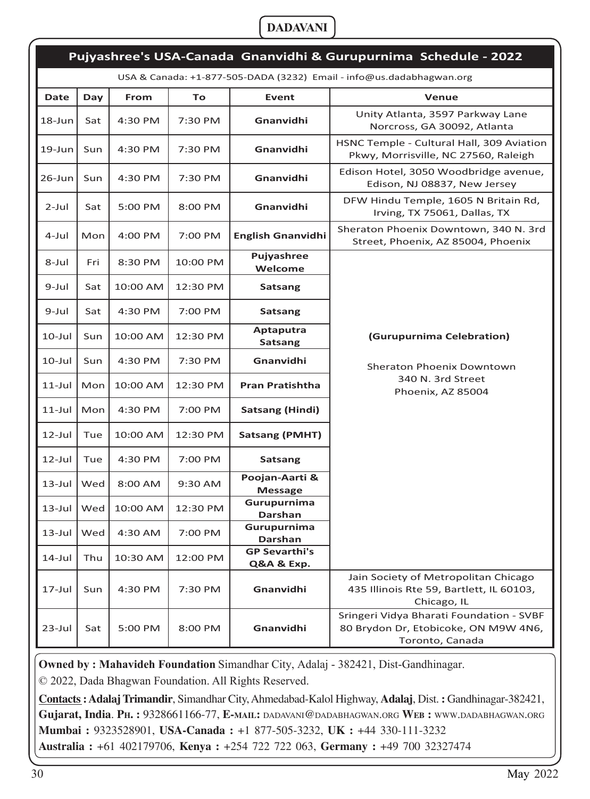| Pujyashree's USA-Canada Gnanvidhi & Gurupurnima Schedule - 2022      |     |          |          |                                    |                                                                                                     |
|----------------------------------------------------------------------|-----|----------|----------|------------------------------------|-----------------------------------------------------------------------------------------------------|
| USA & Canada: +1-877-505-DADA (3232) Email - info@us.dadabhagwan.org |     |          |          |                                    |                                                                                                     |
| Date                                                                 | Day | From     | To       | <b>Event</b>                       | Venue                                                                                               |
| 18-Jun                                                               | Sat | 4:30 PM  | 7:30 PM  | Gnanvidhi                          | Unity Atlanta, 3597 Parkway Lane<br>Norcross, GA 30092, Atlanta                                     |
| 19-Jun                                                               | Sun | 4:30 PM  | 7:30 PM  | Gnanvidhi                          | HSNC Temple - Cultural Hall, 309 Aviation<br>Pkwy, Morrisville, NC 27560, Raleigh                   |
| 26-Jun                                                               | Sun | 4:30 PM  | 7:30 PM  | Gnanvidhi                          | Edison Hotel, 3050 Woodbridge avenue,<br>Edison, NJ 08837, New Jersey                               |
| $2$ -Jul                                                             | Sat | 5:00 PM  | 8:00 PM  | Gnanvidhi                          | DFW Hindu Temple, 1605 N Britain Rd,<br>Irving, TX 75061, Dallas, TX                                |
| 4-Jul                                                                | Mon | 4:00 PM  | 7:00 PM  | <b>English Gnanvidhi</b>           | Sheraton Phoenix Downtown, 340 N. 3rd<br>Street, Phoenix, AZ 85004, Phoenix                         |
| 8-Jul                                                                | Fri | 8:30 PM  | 10:00 PM | Pujyashree<br>Welcome              |                                                                                                     |
| 9-Jul                                                                | Sat | 10:00 AM | 12:30 PM | Satsang                            |                                                                                                     |
| 9-Jul                                                                | Sat | 4:30 PM  | 7:00 PM  | Satsang                            |                                                                                                     |
| $10$ -Jul                                                            | Sun | 10:00 AM | 12:30 PM | Aptaputra<br><b>Satsang</b>        | (Gurupurnima Celebration)                                                                           |
| $10$ -Jul                                                            | Sun | 4:30 PM  | 7:30 PM  | Gnanvidhi                          | Sheraton Phoenix Downtown                                                                           |
| 11-Jul                                                               | Mon | 10:00 AM | 12:30 PM | <b>Pran Pratishtha</b>             | 340 N. 3rd Street<br>Phoenix, AZ 85004                                                              |
| $11$ -Jul                                                            | Mon | 4:30 PM  | 7:00 PM  | Satsang (Hindi)                    |                                                                                                     |
| $12$ -Jul                                                            | Tue | 10:00 AM | 12:30 PM | <b>Satsang (PMHT)</b>              |                                                                                                     |
| $12$ -Jul                                                            | Tue | 4:30 PM  | 7:00 PM  | <b>Satsang</b>                     |                                                                                                     |
| $13$ -Jul                                                            | Wed | 8:00 AM  | 9:30 AM  | Poojan-Aarti &<br><b>Message</b>   |                                                                                                     |
| 13-Jul                                                               | Wed | 10:00 AM | 12:30 PM | Gurupurnima<br>Darshan             |                                                                                                     |
| 13-Jul                                                               | Wed | 4:30 AM  | 7:00 PM  | Gurupurnima<br><b>Darshan</b>      |                                                                                                     |
| $14$ -Jul                                                            | Thu | 10:30 AM | 12:00 PM | <b>GP Sevarthi's</b><br>Q&A & Exp. |                                                                                                     |
| 17-Jul                                                               | Sun | 4:30 PM  | 7:30 PM  | Gnanvidhi                          | Jain Society of Metropolitan Chicago<br>435 Illinois Rte 59, Bartlett, IL 60103,<br>Chicago, IL     |
| 23-Jul                                                               | Sat | 5:00 PM  | 8:00 PM  | Gnanvidhi                          | Sringeri Vidya Bharati Foundation - SVBF<br>80 Brydon Dr, Etobicoke, ON M9W 4N6,<br>Toronto, Canada |

**Owned by : Mahavideh Foundation** Simandhar City, Adalaj - 382421, Dist-Gandhinagar.

© 2022, Dada Bhagwan Foundation. All Rights Reserved.

**Contacts : Adalaj Trimandir**, Simandhar City, Ahmedabad-Kalol Highway, **Adalaj**, Dist. **:** Gandhinagar-382421, **Gujarat, India**. **PH. :** 9328661166-77, **E-MAIL:** DADAVANI@DADABHAGWAN.ORG **WEB :** WWW.DADABHAGWAN.ORG **Mumbai :** 9323528901, **USA-Canada :** +1 877-505-3232, **UK :** +44 330-111-3232 **Australia :** +61 402179706, **Kenya :** +254 722 722 063, **Germany :** +49 700 32327474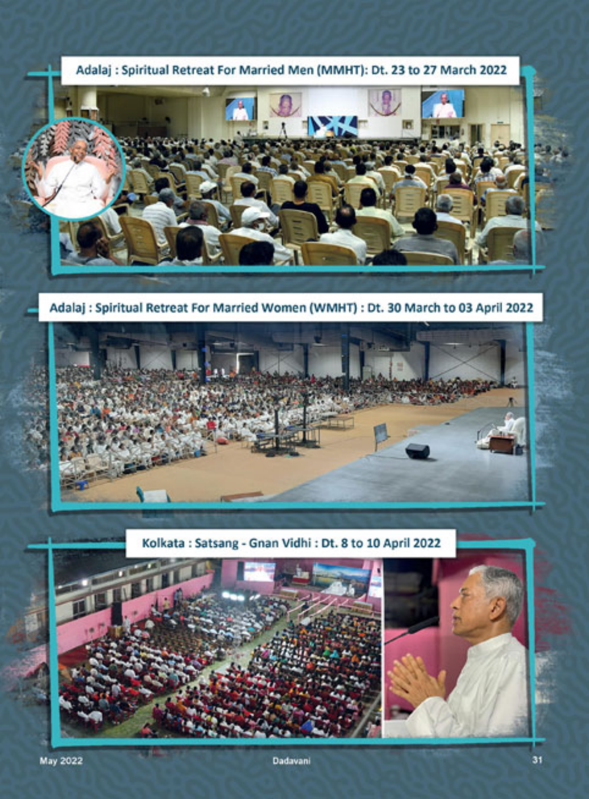



Adalaj : Spiritual Retreat For Married Women (WMHT) : Dt. 30 March to 03 April 2022



Kolkata: Satsang - Gnan Vidhi: Dt. 8 to 10 April 2022